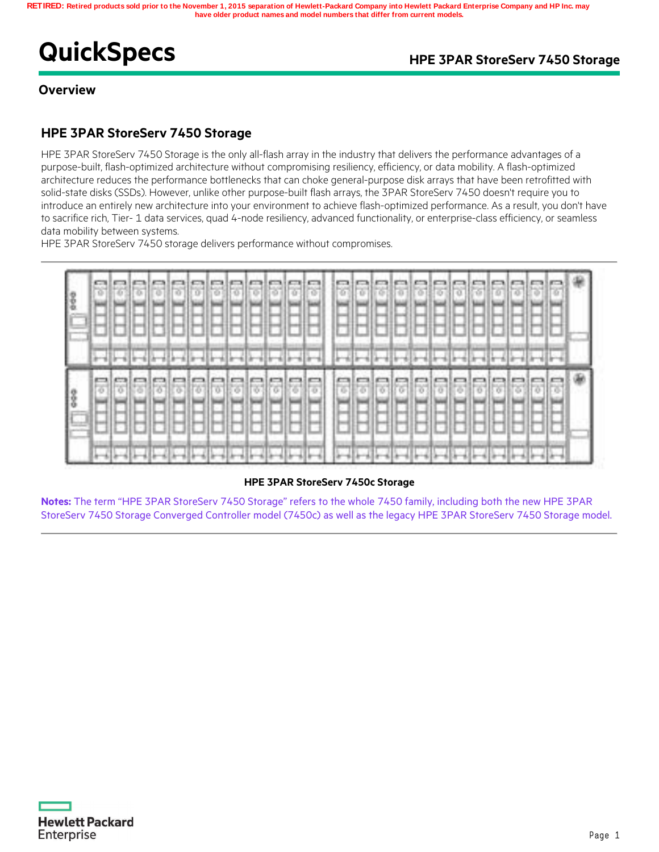# **QuickSpecs** *HPE 3PAR StoreServ 7450 Storage*

**Overview**

## **HPE 3PAR StoreServ 7450 Storage**

HPE 3PAR StoreServ 7450 Storage is the only all-flash array in the industry that delivers the performance advantages of a purpose-built, flash-optimized architecture without compromising resiliency, efficiency, or data mobility. A flash-optimized architecture reduces the performance bottlenecks that can choke general-purpose disk arrays that have been retrofitted with solid-state disks (SSDs). However, unlike other purpose-built flash arrays, the 3PAR StoreServ 7450 doesn't require you to introduce an entirely new architecture into your environment to achieve flash-optimized performance. As a result, you don't have to sacrifice rich, Tier- 1 data services, quad 4-node resiliency, advanced functionality, or enterprise-class efficiency, or seamless data mobility between systems.

HPE 3PAR StoreServ 7450 storage delivers performance without compromises.



### **HPE 3PAR StoreServ 7450c Storage**

**Notes:** The term "HPE 3PAR StoreServ 7450 Storage" refers to the whole 7450 family, including both the new HPE 3PAR StoreServ 7450 Storage Converged Controller model (7450c) as well as the legacy HPE 3PAR StoreServ 7450 Storage model.

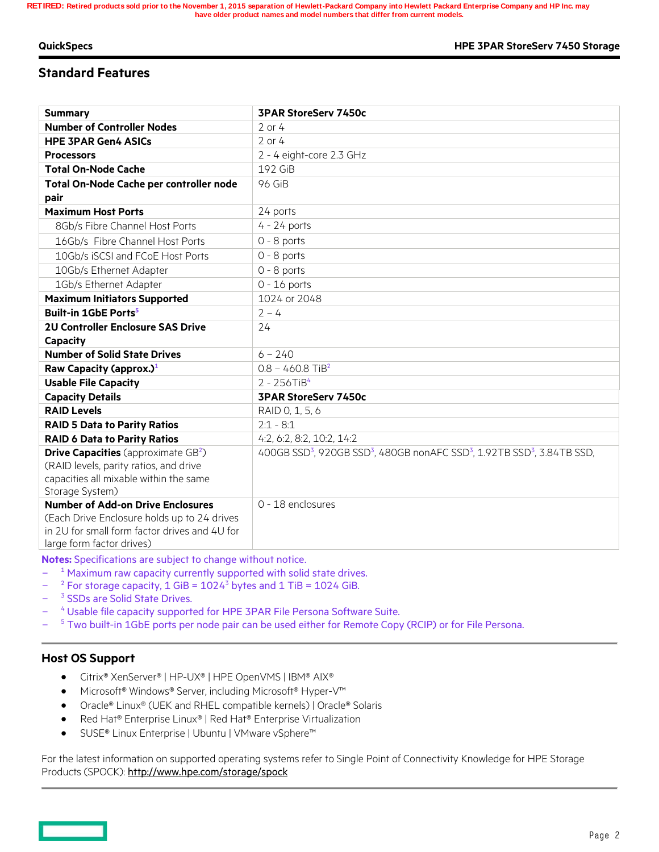## **Standard Features**

| <b>Summary</b>                                         | <b>3PAR StoreServ 7450c</b>                                                                                             |
|--------------------------------------------------------|-------------------------------------------------------------------------------------------------------------------------|
| <b>Number of Controller Nodes</b>                      | $2$ or $4$                                                                                                              |
| <b>HPE 3PAR Gen4 ASICs</b>                             | $2$ or $4$                                                                                                              |
| <b>Processors</b>                                      | 2 - 4 eight-core 2.3 GHz                                                                                                |
| <b>Total On-Node Cache</b>                             | 192 GiB                                                                                                                 |
| Total On-Node Cache per controller node                | 96 GiB                                                                                                                  |
| pair                                                   |                                                                                                                         |
| <b>Maximum Host Ports</b>                              | 24 ports                                                                                                                |
| 8Gb/s Fibre Channel Host Ports                         | $4 - 24$ ports                                                                                                          |
| 16Gb/s Fibre Channel Host Ports                        | $0 - 8$ ports                                                                                                           |
| 10Gb/s iSCSI and FCoE Host Ports                       | $0 - 8$ ports                                                                                                           |
| 10Gb/s Ethernet Adapter                                | $0 - 8$ ports                                                                                                           |
| 1Gb/s Ethernet Adapter                                 | $0 - 16$ ports                                                                                                          |
| <b>Maximum Initiators Supported</b>                    | 1024 or 2048                                                                                                            |
| <b>Built-in 1GbE Ports<sup>5</sup></b>                 | $2 - 4$                                                                                                                 |
| <b>2U Controller Enclosure SAS Drive</b>               | 24                                                                                                                      |
| Capacity                                               |                                                                                                                         |
| <b>Number of Solid State Drives</b>                    | $6 - 240$                                                                                                               |
| Raw Capacity (approx.) <sup>1</sup>                    | $0.8 - 460.8$ TiB <sup>2</sup>                                                                                          |
| <b>Usable File Capacity</b>                            | $2 - 256$ TiB <sup>4</sup>                                                                                              |
| <b>Capacity Details</b>                                | <b>3PAR StoreServ 7450c</b>                                                                                             |
| <b>RAID Levels</b>                                     | RAID 0, 1, 5, 6                                                                                                         |
| <b>RAID 5 Data to Parity Ratios</b>                    | $2:1 - 8:1$                                                                                                             |
| <b>RAID 6 Data to Parity Ratios</b>                    | 4:2, 6:2, 8:2, 10:2, 14:2                                                                                               |
| <b>Drive Capacities</b> (approximate GB <sup>2</sup> ) | 400GB SSD <sup>3</sup> , 920GB SSD <sup>3</sup> , 480GB nonAFC SSD <sup>3</sup> , 1.92TB SSD <sup>3</sup> , 3.84TB SSD, |
| (RAID levels, parity ratios, and drive                 |                                                                                                                         |
| capacities all mixable within the same                 |                                                                                                                         |
| Storage System)                                        |                                                                                                                         |
| <b>Number of Add-on Drive Enclosures</b>               | 0 - 18 enclosures                                                                                                       |
| (Each Drive Enclosure holds up to 24 drives            |                                                                                                                         |
| in 2U for small form factor drives and 4U for          |                                                                                                                         |
| large form factor drives)                              |                                                                                                                         |

**Notes:** Specifications are subject to change without notice.

- $\overline{a}$ <sup>1</sup> Maximum raw capacity currently supported with solid state drives.
- $\overline{a}$  $2$  For storage capacity, 1 GiB =  $1024<sup>3</sup>$  bytes and 1 TiB = 1024 GiB.
- $\overline{a}$ <sup>3</sup> SSDs are Solid State Drives.
- $\overline{a}$ <sup>4</sup> Usable file capacity supported for HPE 3PAR File Persona Software Suite.
- $\overline{a}$ <sup>5</sup> Two built-in 1GbE ports per node pair can be used either for Remote Copy (RCIP) or for File Persona.

## **Host OS Support**

- Citrix® XenServer® | HP-UX® | HPE OpenVMS | IBM® AIX®
- Microsoft® Windows® Server, including Microsoft® Hyper-V™
- Oracle® Linux® (UEK and RHEL compatible kernels) | Oracle® Solaris
- Red Hat® Enterprise Linux® | Red Hat® Enterprise Virtualization
- SUSE® Linux Enterprise | Ubuntu | VMware vSphere™

For the latest information on supported operating systems refer to Single Point of Connectivity Knowledge for HPE Storage Products (SPOCK): http://www.hpe.com/storage/spock

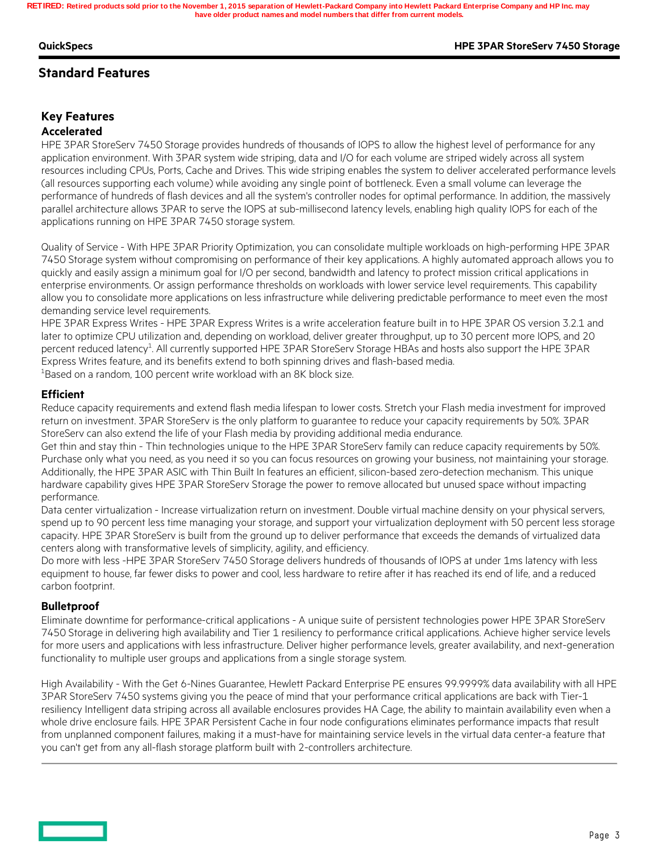#### **QuickSpecs HPE 3PAR StoreServ 7450 Storage**

## **Standard Features**

## **Key Features**

### **Accelerated**

HPE 3PAR StoreServ 7450 Storage provides hundreds of thousands of IOPS to allow the highest level of performance for any application environment. With 3PAR system wide striping, data and I/O for each volume are striped widely across all system resources including CPUs, Ports, Cache and Drives. This wide striping enables the system to deliver accelerated performance levels (all resources supporting each volume) while avoiding any single point of bottleneck. Even a small volume can leverage the performance of hundreds of flash devices and all the system's controller nodes for optimal performance. In addition, the massively parallel architecture allows 3PAR to serve the IOPS at sub-millisecond latency levels, enabling high quality IOPS for each of the applications running on HPE 3PAR 7450 storage system.

Quality of Service - With HPE 3PAR Priority Optimization, you can consolidate multiple workloads on high-performing HPE 3PAR 7450 Storage system without compromising on performance of their key applications. A highly automated approach allows you to quickly and easily assign a minimum goal for I/O per second, bandwidth and latency to protect mission critical applications in enterprise environments. Or assign performance thresholds on workloads with lower service level requirements. This capability allow you to consolidate more applications on less infrastructure while delivering predictable performance to meet even the most demanding service level requirements.

HPE 3PAR Express Writes - HPE 3PAR Express Writes is a write acceleration feature built in to HPE 3PAR OS version 3.2.1 and later to optimize CPU utilization and, depending on workload, deliver greater throughput, up to 30 percent more IOPS, and 20 percent reduced latency<sup>1</sup>. All currently supported HPE 3PAR StoreServ Storage HBAs and hosts also support the HPE 3PAR Express Writes feature, and its benefits extend to both spinning drives and flash-based media.

 $1B$ ased on a random, 100 percent write workload with an 8K block size.

#### **Efficient**

Reduce capacity requirements and extend flash media lifespan to lower costs. Stretch your Flash media investment for improved return on investment. 3PAR StoreServ is the only platform to guarantee to reduce your capacity requirements by 50%. 3PAR StoreServ can also extend the life of your Flash media by providing additional media endurance.

Get thin and stay thin - Thin technologies unique to the HPE 3PAR StoreServ family can reduce capacity requirements by 50%. Purchase only what you need, as you need it so you can focus resources on growing your business, not maintaining your storage. Additionally, the HPE 3PAR ASIC with Thin Built In features an efficient, silicon-based zero-detection mechanism. This unique hardware capability gives HPE 3PAR StoreServ Storage the power to remove allocated but unused space without impacting performance.

Data center virtualization - Increase virtualization return on investment. Double virtual machine density on your physical servers, spend up to 90 percent less time managing your storage, and support your virtualization deployment with 50 percent less storage capacity. HPE 3PAR StoreServ is built from the ground up to deliver performance that exceeds the demands of virtualized data centers along with transformative levels of simplicity, agility, and efficiency.

Do more with less -HPE 3PAR StoreServ 7450 Storage delivers hundreds of thousands of IOPS at under 1ms latency with less equipment to house, far fewer disks to power and cool, less hardware to retire after it has reached its end of life, and a reduced carbon footprint.

### **Bulletproof**

Eliminate downtime for performance-critical applications - A unique suite of persistent technologies power HPE 3PAR StoreServ 7450 Storage in delivering high availability and Tier 1 resiliency to performance critical applications. Achieve higher service levels for more users and applications with less infrastructure. Deliver higher performance levels, greater availability, and next-generation functionality to multiple user groups and applications from a single storage system.

High Availability - With the Get 6-Nines Guarantee, Hewlett Packard Enterprise PE ensures 99.9999% data availability with all HPE 3PAR StoreServ 7450 systems giving you the peace of mind that your performance critical applications are back with Tier-1 resiliency Intelligent data striping across all available enclosures provides HA Cage, the ability to maintain availability even when a whole drive enclosure fails. HPE 3PAR Persistent Cache in four node configurations eliminates performance impacts that result from unplanned component failures, making it a must-have for maintaining service levels in the virtual data center-a feature that you can't get from any all-flash storage platform built with 2-controllers architecture.

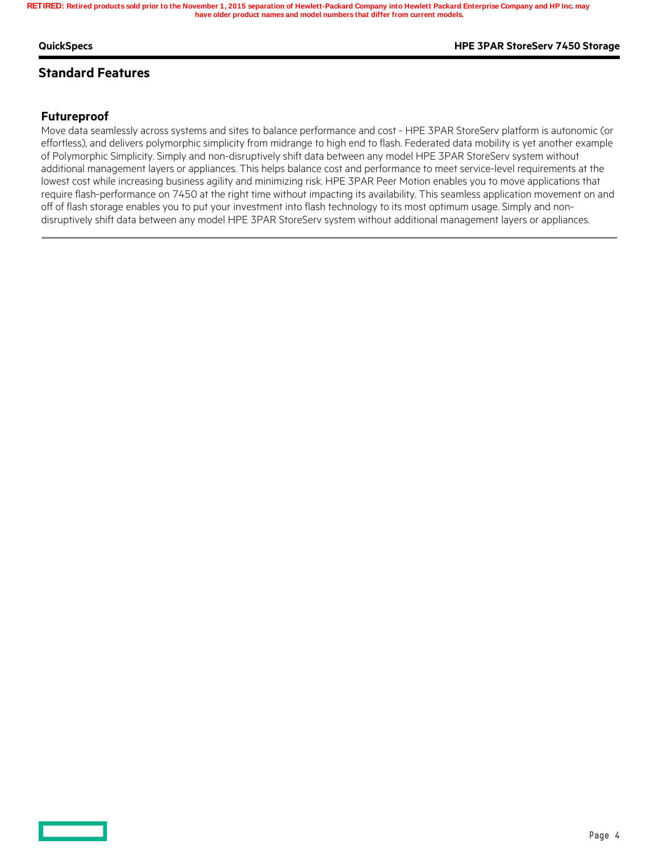#### **QuickSpecs HPE 3PAR StoreServ 7450 Storage**

## **Standard Features**

## **Futureproof**

Move data seamlessly across systems and sites to balance performance and cost - HPE 3PAR StoreServ platform is autonomic (or effortless), and delivers polymorphic simplicity from midrange to high end to flash. Federated data mobility is yet another example of Polymorphic Simplicity. Simply and non-disruptively shift data between any model HPE 3PAR StoreServ system without additional management layers or appliances. This helps balance cost and performance to meet service-level requirements at the lowest cost while increasing business agility and minimizing risk. HPE 3PAR Peer Motion enables you to move applications that require flash-performance on 7450 at the right time without impacting its availability. This seamless application movement on and off of flash storage enables you to put your investment into flash technology to its most optimum usage. Simply and nondisruptively shift data between any model HPE 3PAR StoreServ system without additional management layers or appliances.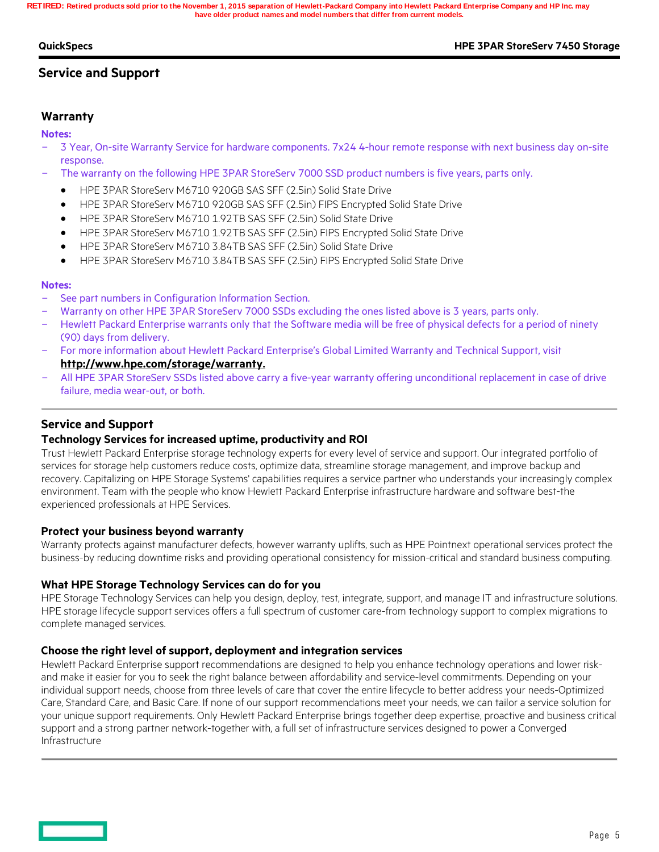#### **QuickSpecs HPE 3PAR StoreServ 7450 Storage**

## **Service and Support**

### **Warranty**

**Notes:**

- 3 Year, On-site Warranty Service for hardware components. 7x24 4-hour remote response with next business day on-site response.
- The warranty on the following HPE 3PAR StoreServ 7000 SSD product numbers is five years, parts only.
	- HPE 3PAR StoreServ M6710 920GB SAS SFF (2.5in) Solid State Drive
	- HPE 3PAR StoreServ M6710 920GB SAS SFF (2.5in) FIPS Encrypted Solid State Drive
	- HPE 3PAR StoreServ M6710 1.92TB SAS SFF (2.5in) Solid State Drive
	- HPE 3PAR StoreServ M6710 1.92TB SAS SFF (2.5in) FIPS Encrypted Solid State Drive
	- HPE 3PAR StoreServ M6710 3.84TB SAS SFF (2.5in) Solid State Drive
	- HPE 3PAR StoreServ M6710 3.84TB SAS SFF (2.5in) FIPS Encrypted Solid State Drive

#### **Notes:**

- See part numbers in Configuration Information Section.
- Warranty on other HPE 3PAR StoreServ 7000 SSDs excluding the ones listed above is 3 years, parts only.
- Hewlett Packard Enterprise warrants only that the Software media will be free of physical defects for a period of ninety (90) days from delivery.
- For more information about Hewlett Packard Enterprise's Global Limited Warranty and Technical Support, visit **http://www.hpe.com/storage/warranty.**
- All HPE 3PAR StoreServ SSDs listed above carry a five-year warranty offering unconditional replacement in case of drive failure, media wear-out, or both.

### **Service and Support**

#### **Technology Services for increased uptime, productivity and ROI**

Trust Hewlett Packard Enterprise storage technology experts for every level of service and support. Our integrated portfolio of services for storage help customers reduce costs, optimize data, streamline storage management, and improve backup and recovery. Capitalizing on HPE Storage Systems' capabilities requires a service partner who understands your increasingly complex environment. Team with the people who know Hewlett Packard Enterprise infrastructure hardware and software best-the experienced professionals at HPE Services.

#### **Protect your business beyond warranty**

Warranty protects against manufacturer defects, however warranty uplifts, such as HPE Pointnext operational services protect the business-by reducing downtime risks and providing operational consistency for mission-critical and standard business computing.

#### **What HPE Storage Technology Services can do for you**

HPE Storage Technology Services can help you design, deploy, test, integrate, support, and manage IT and infrastructure solutions. HPE storage lifecycle support services offers a full spectrum of customer care-from technology support to complex migrations to complete managed services.

#### **Choose the right level of support, deployment and integration services**

Hewlett Packard Enterprise support recommendations are designed to help you enhance technology operations and lower riskand make it easier for you to seek the right balance between affordability and service-level commitments. Depending on your individual support needs, choose from three levels of care that cover the entire lifecycle to better address your needs-Optimized Care, Standard Care, and Basic Care. If none of our support recommendations meet your needs, we can tailor a service solution for your unique support requirements. Only Hewlett Packard Enterprise brings together deep expertise, proactive and business critical support and a strong partner network-together with, a full set of infrastructure services designed to power a Converged Infrastructure

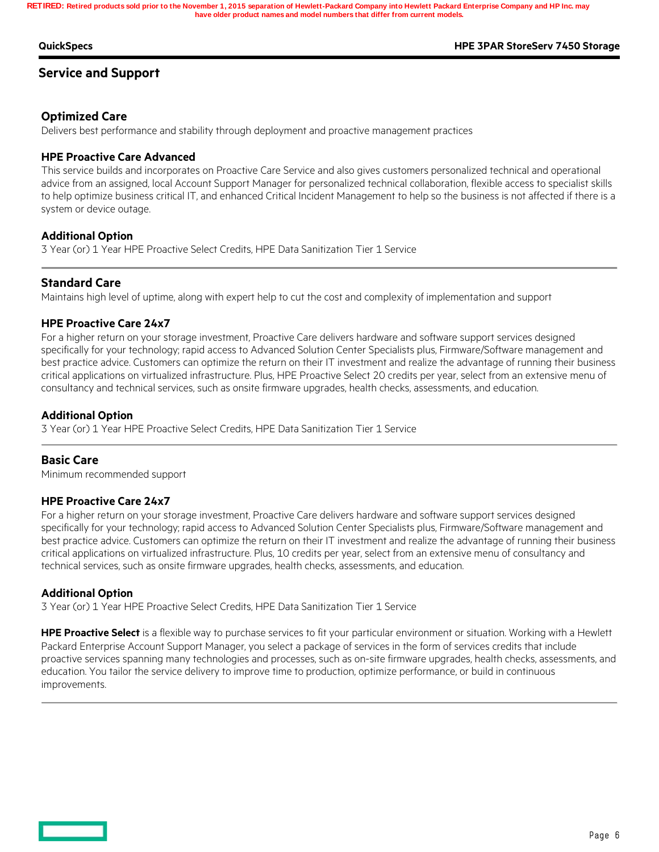#### **QuickSpecs HPE 3PAR StoreServ 7450 Storage**

### **Service and Support**

### **Optimized Care**

Delivers best performance and stability through deployment and proactive management practices

#### **HPE Proactive Care Advanced**

This service builds and incorporates on Proactive Care Service and also gives customers personalized technical and operational advice from an assigned, local Account Support Manager for personalized technical collaboration, flexible access to specialist skills to help optimize business critical IT, and enhanced Critical Incident Management to help so the business is not affected if there is a system or device outage.

#### **Additional Option**

3 Year (or) 1 Year HPE Proactive Select Credits, HPE Data Sanitization Tier 1 Service

### **Standard Care**

Maintains high level of uptime, along with expert help to cut the cost and complexity of implementation and support

#### **HPE Proactive Care 24x7**

For a higher return on your storage investment, Proactive Care delivers hardware and software support services designed specifically for your technology; rapid access to Advanced Solution Center Specialists plus, Firmware/Software management and best practice advice. Customers can optimize the return on their IT investment and realize the advantage of running their business critical applications on virtualized infrastructure. Plus, HPE Proactive Select 20 credits per year, select from an extensive menu of consultancy and technical services, such as onsite firmware upgrades, health checks, assessments, and education.

#### **Additional Option**

3 Year (or) 1 Year HPE Proactive Select Credits, HPE Data Sanitization Tier 1 Service

#### **Basic Care**

Minimum recommended support

#### **HPE Proactive Care 24x7**

For a higher return on your storage investment, Proactive Care delivers hardware and software support services designed specifically for your technology; rapid access to Advanced Solution Center Specialists plus, Firmware/Software management and best practice advice. Customers can optimize the return on their IT investment and realize the advantage of running their business critical applications on virtualized infrastructure. Plus, 10 credits per year, select from an extensive menu of consultancy and technical services, such as onsite firmware upgrades, health checks, assessments, and education.

#### **Additional Option**

3 Year (or) 1 Year HPE Proactive Select Credits, HPE Data Sanitization Tier 1 Service

**HPE Proactive Select** is a flexible way to purchase services to fit your particular environment or situation. Working with a Hewlett Packard Enterprise Account Support Manager, you select a package of services in the form of services credits that include proactive services spanning many technologies and processes, such as on-site firmware upgrades, health checks, assessments, and education. You tailor the service delivery to improve time to production, optimize performance, or build in continuous improvements.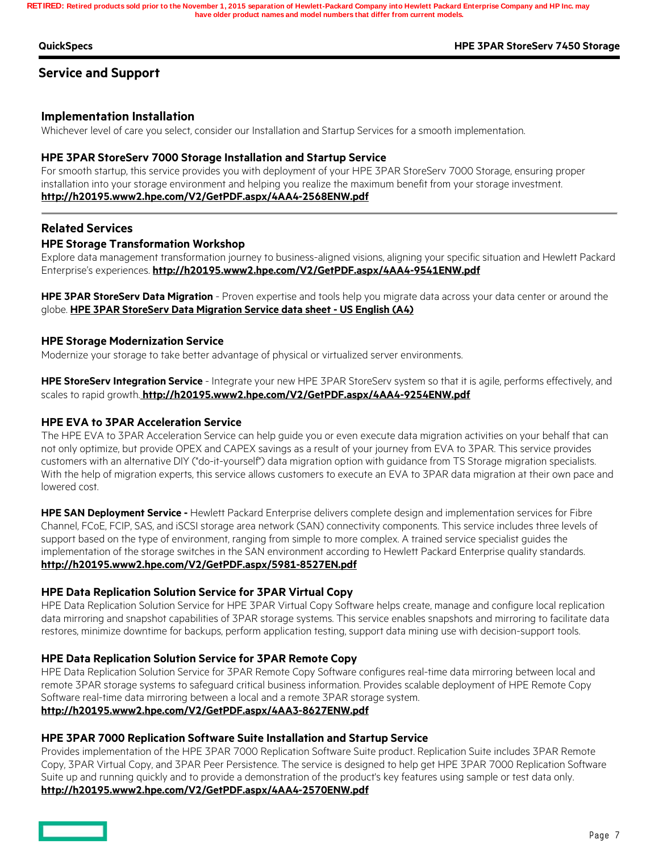#### **QuickSpecs HPE 3PAR StoreServ 7450 Storage**

### **Service and Support**

#### **Implementation Installation**

Whichever level of care you select, consider our Installation and Startup Services for a smooth implementation.

#### **HPE 3PAR StoreServ 7000 Storage Installation and Startup Service**

For smooth startup, this service provides you with deployment of your HPE 3PAR StoreServ 7000 Storage, ensuring proper installation into your storage environment and helping you realize the maximum benefit from your storage investment. **http://h20195.www2.hpe.com/V2/GetPDF.aspx/4AA4-2568ENW.pdf**

#### **Related Services**

#### **HPE Storage Transformation Workshop**

Explore data management transformation journey to business-aligned visions, aligning your specific situation and Hewlett Packard Enterprise's experiences. **http://h20195.www2.hpe.com/V2/GetPDF.aspx/4AA4-9541ENW.pdf**

**HPE 3PAR StoreServ Data Migration** - Proven expertise and tools help you migrate data across your data center or around the globe. **HPE 3PAR StoreServ Data Migration Service data sheet - US English (A4)**

#### **HPE Storage Modernization Service**

Modernize your storage to take better advantage of physical or virtualized server environments.

**HPE StoreServ Integration Service** - Integrate your new HPE 3PAR StoreServ system so that it is agile, performs effectively, and scales to rapid growth. **http://h20195.www2.hpe.com/V2/GetPDF.aspx/4AA4-9254ENW.pdf**

#### **HPE EVA to 3PAR Acceleration Service**

The HPE EVA to 3PAR Acceleration Service can help guide you or even execute data migration activities on your behalf that can not only optimize, but provide OPEX and CAPEX savings as a result of your journey from EVA to 3PAR. This service provides customers with an alternative DIY ("do-it-yourself") data migration option with guidance from TS Storage migration specialists. With the help of migration experts, this service allows customers to execute an EVA to 3PAR data migration at their own pace and lowered cost.

**HPE SAN Deployment Service -** Hewlett Packard Enterprise delivers complete design and implementation services for Fibre Channel, FCoE, FCIP, SAS, and iSCSI storage area network (SAN) connectivity components. This service includes three levels of support based on the type of environment, ranging from simple to more complex. A trained service specialist guides the implementation of the storage switches in the SAN environment according to Hewlett Packard Enterprise quality standards. **http://h20195.www2.hpe.com/V2/GetPDF.aspx/5981-8527EN.pdf**

#### **HPE Data Replication Solution Service for 3PAR Virtual Copy**

HPE Data Replication Solution Service for HPE 3PAR Virtual Copy Software helps create, manage and configure local replication data mirroring and snapshot capabilities of 3PAR storage systems. This service enables snapshots and mirroring to facilitate data restores, minimize downtime for backups, perform application testing, support data mining use with decision-support tools.

#### **HPE Data Replication Solution Service for 3PAR Remote Copy**

HPE Data Replication Solution Service for 3PAR Remote Copy Software configures real-time data mirroring between local and remote 3PAR storage systems to safeguard critical business information. Provides scalable deployment of HPE Remote Copy Software real-time data mirroring between a local and a remote 3PAR storage system. **http://h20195.www2.hpe.com/V2/GetPDF.aspx/4AA3-8627ENW.pdf**

#### **HPE 3PAR 7000 Replication Software Suite Installation and Startup Service**

Provides implementation of the HPE 3PAR 7000 Replication Software Suite product. Replication Suite includes 3PAR Remote Copy, 3PAR Virtual Copy, and 3PAR Peer Persistence. The service is designed to help get HPE 3PAR 7000 Replication Software Suite up and running quickly and to provide a demonstration of the product's key features using sample or test data only. **http://h20195.www2.hpe.com/V2/GetPDF.aspx/4AA4-2570ENW.pdf**

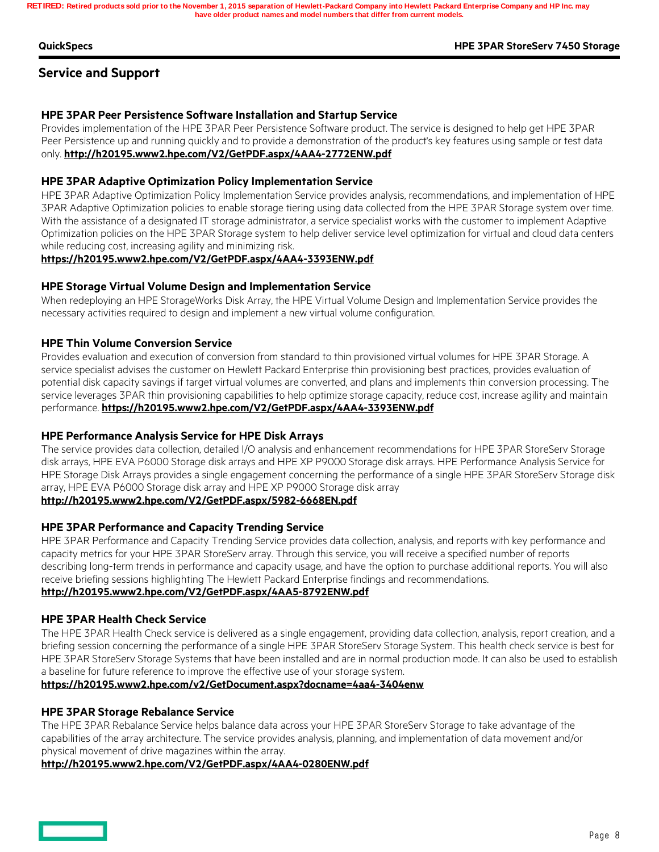#### **QuickSpecs HPE 3PAR StoreServ 7450 Storage**

## **Service and Support**

### **HPE 3PAR Peer Persistence Software Installation and Startup Service**

Provides implementation of the HPE 3PAR Peer Persistence Software product. The service is designed to help get HPE 3PAR Peer Persistence up and running quickly and to provide a demonstration of the product's key features using sample or test data only. **http://h20195.www2.hpe.com/V2/GetPDF.aspx/4AA4-2772ENW.pdf**

#### **HPE 3PAR Adaptive Optimization Policy Implementation Service**

HPE 3PAR Adaptive Optimization Policy Implementation Service provides analysis, recommendations, and implementation of HPE 3PAR Adaptive Optimization policies to enable storage tiering using data collected from the HPE 3PAR Storage system over time. With the assistance of a designated IT storage administrator, a service specialist works with the customer to implement Adaptive Optimization policies on the HPE 3PAR Storage system to help deliver service level optimization for virtual and cloud data centers while reducing cost, increasing agility and minimizing risk.

#### **https://h20195.www2.hpe.com/V2/GetPDF.aspx/4AA4-3393ENW.pdf**

#### **HPE Storage Virtual Volume Design and Implementation Service**

When redeploying an HPE StorageWorks Disk Array, the HPE Virtual Volume Design and Implementation Service provides the necessary activities required to design and implement a new virtual volume configuration.

#### **HPE Thin Volume Conversion Service**

Provides evaluation and execution of conversion from standard to thin provisioned virtual volumes for HPE 3PAR Storage. A service specialist advises the customer on Hewlett Packard Enterprise thin provisioning best practices, provides evaluation of potential disk capacity savings if target virtual volumes are converted, and plans and implements thin conversion processing. The service leverages 3PAR thin provisioning capabilities to help optimize storage capacity, reduce cost, increase agility and maintain performance. **https://h20195.www2.hpe.com/V2/GetPDF.aspx/4AA4-3393ENW.pdf**

#### **HPE Performance Analysis Service for HPE Disk Arrays**

The service provides data collection, detailed I/O analysis and enhancement recommendations for HPE 3PAR StoreServ Storage disk arrays, HPE EVA P6000 Storage disk arrays and HPE XP P9000 Storage disk arrays. HPE Performance Analysis Service for HPE Storage Disk Arrays provides a single engagement concerning the performance of a single HPE 3PAR StoreServ Storage disk array, HPE EVA P6000 Storage disk array and HPE XP P9000 Storage disk array

## **http://h20195.www2.hpe.com/V2/GetPDF.aspx/5982-6668EN.pdf**

#### **HPE 3PAR Performance and Capacity Trending Service**

HPE 3PAR Performance and Capacity Trending Service provides data collection, analysis, and reports with key performance and capacity metrics for your HPE 3PAR StoreServ array. Through this service, you will receive a specified number of reports describing long-term trends in performance and capacity usage, and have the option to purchase additional reports. You will also receive briefing sessions highlighting The Hewlett Packard Enterprise findings and recommendations.

#### **http://h20195.www2.hpe.com/V2/GetPDF.aspx/4AA5-8792ENW.pdf**

#### **HPE 3PAR Health Check Service**

The HPE 3PAR Health Check service is delivered as a single engagement, providing data collection, analysis, report creation, and a briefing session concerning the performance of a single HPE 3PAR StoreServ Storage System. This health check service is best for HPE 3PAR StoreServ Storage Systems that have been installed and are in normal production mode. It can also be used to establish a baseline for future reference to improve the effective use of your storage system.

#### **https://h20195.www2.hpe.com/v2/GetDocument.aspx?docname=4aa4-3404enw**

#### **HPE 3PAR Storage Rebalance Service**

The HPE 3PAR Rebalance Service helps balance data across your HPE 3PAR StoreServ Storage to take advantage of the capabilities of the array architecture. The service provides analysis, planning, and implementation of data movement and/or physical movement of drive magazines within the array.

#### **http://h20195.www2.hpe.com/V2/GetPDF.aspx/4AA4-0280ENW.pdf**

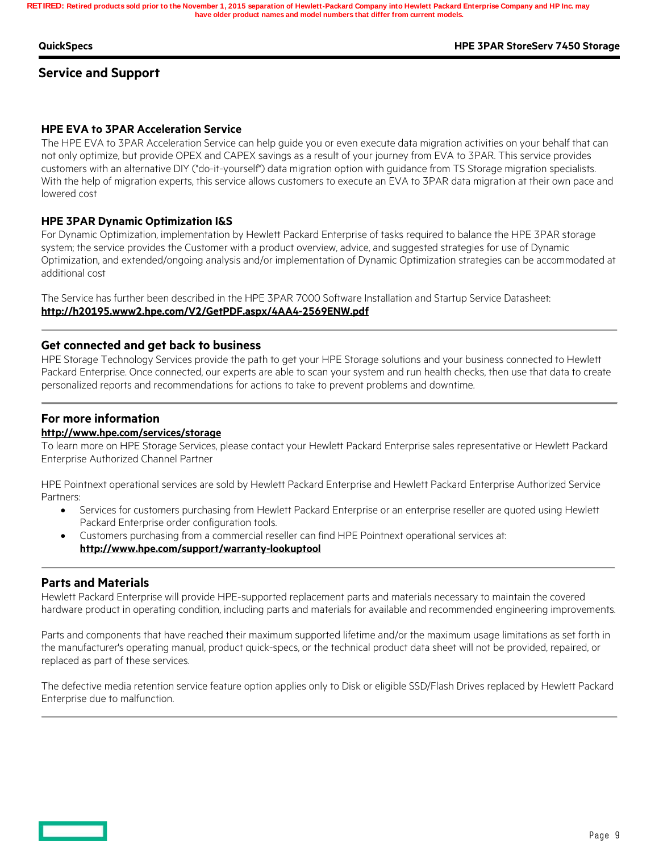#### **QuickSpecs HPE 3PAR StoreServ 7450 Storage**

## **Service and Support**

#### **HPE EVA to 3PAR Acceleration Service**

The HPE EVA to 3PAR Acceleration Service can help guide you or even execute data migration activities on your behalf that can not only optimize, but provide OPEX and CAPEX savings as a result of your journey from EVA to 3PAR. This service provides customers with an alternative DIY ("do-it-yourself") data migration option with guidance from TS Storage migration specialists. With the help of migration experts, this service allows customers to execute an EVA to 3PAR data migration at their own pace and lowered cost

#### **HPE 3PAR Dynamic Optimization I&S**

For Dynamic Optimization, implementation by Hewlett Packard Enterprise of tasks required to balance the HPE 3PAR storage system; the service provides the Customer with a product overview, advice, and suggested strategies for use of Dynamic Optimization, and extended/ongoing analysis and/or implementation of Dynamic Optimization strategies can be accommodated at additional cost

The Service has further been described in the HPE 3PAR 7000 Software Installation and Startup Service Datasheet: **http://h20195.www2.hpe.com/V2/GetPDF.aspx/4AA4-2569ENW.pdf**

#### **Get connected and get back to business**

HPE Storage Technology Services provide the path to get your HPE Storage solutions and your business connected to Hewlett Packard Enterprise. Once connected, our experts are able to scan your system and run health checks, then use that data to create personalized reports and recommendations for actions to take to prevent problems and downtime.

### **For more information**

#### **http://www.hpe.com/services/storage**

To learn more on HPE Storage Services, please contact your Hewlett Packard Enterprise sales representative or Hewlett Packard Enterprise Authorized Channel Partner

HPE Pointnext operational services are sold by Hewlett Packard Enterprise and Hewlett Packard Enterprise Authorized Service Partners:

- Services for customers purchasing from Hewlett Packard Enterprise or an enterprise reseller are quoted using Hewlett Packard Enterprise order configuration tools.
- Customers purchasing from a commercial reseller can find HPE Pointnext operational services at: **http://www.hpe.com/support/warranty-lookuptool**

#### **Parts and Materials**

Hewlett Packard Enterprise will provide HPE-supported replacement parts and materials necessary to maintain the covered hardware product in operating condition, including parts and materials for available and recommended engineering improvements.

Parts and components that have reached their maximum supported lifetime and/or the maximum usage limitations as set forth in the manufacturer's operating manual, product quick-specs, or the technical product data sheet will not be provided, repaired, or replaced as part of these services.

The defective media retention service feature option applies only to Disk or eligible SSD/Flash Drives replaced by Hewlett Packard Enterprise due to malfunction.

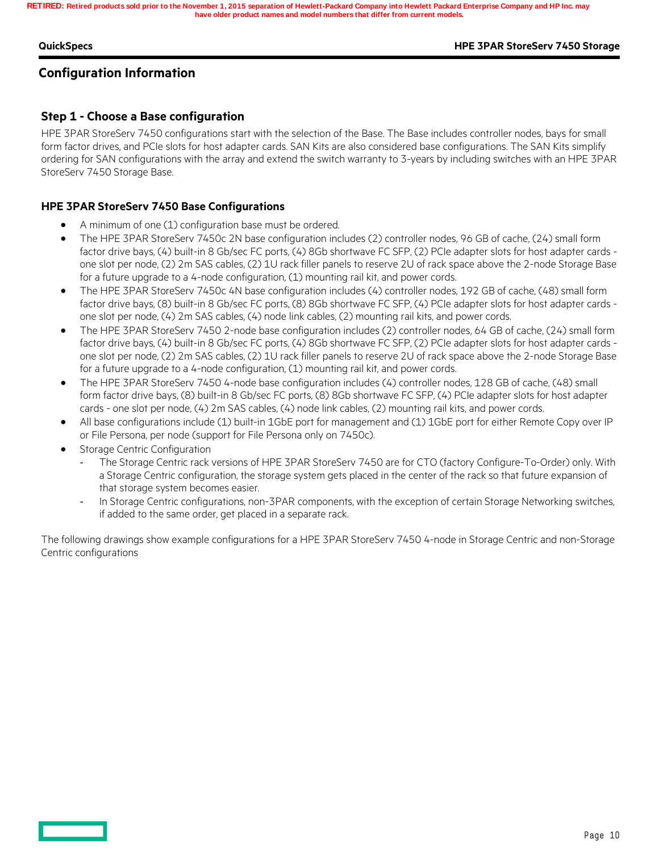#### **QuickSpecs HPE 3PAR StoreServ 7450 Storage**

## **Configuration Information**

## **Step 1 - Choose a Base configuration**

HPE 3PAR StoreServ 7450 configurations start with the selection of the Base. The Base includes controller nodes, bays for small form factor drives, and PCIe slots for host adapter cards. SAN Kits are also considered base configurations. The SAN Kits simplify ordering for SAN configurations with the array and extend the switch warranty to 3-years by including switches with an HPE 3PAR StoreServ 7450 Storage Base.

### **HPE 3PAR StoreServ 7450 Base Configurations**

- A minimum of one (1) configuration base must be ordered.
- The HPE 3PAR StoreServ 7450c 2N base configuration includes (2) controller nodes, 96 GB of cache, (24) small form factor drive bays, (4) built-in 8 Gb/sec FC ports, (4) 8Gb shortwave FC SFP, (2) PCIe adapter slots for host adapter cards one slot per node, (2) 2m SAS cables, (2) 1U rack filler panels to reserve 2U of rack space above the 2-node Storage Base for a future upgrade to a 4-node configuration, (1) mounting rail kit, and power cords.
- The HPE 3PAR StoreServ 7450c 4N base configuration includes (4) controller nodes, 192 GB of cache, (48) small form factor drive bays, (8) built-in 8 Gb/sec FC ports, (8) 8Gb shortwave FC SFP, (4) PCIe adapter slots for host adapter cards one slot per node, (4) 2m SAS cables, (4) node link cables, (2) mounting rail kits, and power cords.
- The HPE 3PAR StoreServ 7450 2-node base configuration includes (2) controller nodes, 64 GB of cache, (24) small form factor drive bays, (4) built-in 8 Gb/sec FC ports, (4) 8Gb shortwave FC SFP, (2) PCIe adapter slots for host adapter cards one slot per node, (2) 2m SAS cables, (2) 1U rack filler panels to reserve 2U of rack space above the 2-node Storage Base for a future upgrade to a 4-node configuration, (1) mounting rail kit, and power cords.
- The HPE 3PAR StoreServ 7450 4-node base configuration includes (4) controller nodes, 128 GB of cache, (48) small form factor drive bays, (8) built-in 8 Gb/sec FC ports, (8) 8Gb shortwave FC SFP, (4) PCIe adapter slots for host adapter cards - one slot per node, (4) 2m SAS cables, (4) node link cables, (2) mounting rail kits, and power cords.
- All base configurations include (1) built-in 1GbE port for management and (1) 1GbE port for either Remote Copy over IP or File Persona, per node (support for File Persona only on 7450c).
- Storage Centric Configuration
	- The Storage Centric rack versions of HPE 3PAR StoreServ 7450 are for CTO (factory Configure-To-Order) only. With a Storage Centric configuration, the storage system gets placed in the center of the rack so that future expansion of that storage system becomes easier.
	- In Storage Centric configurations, non-3PAR components, with the exception of certain Storage Networking switches, if added to the same order, get placed in a separate rack.

The following drawings show example configurations for a HPE 3PAR StoreServ 7450 4-node in Storage Centric and non-Storage Centric configurations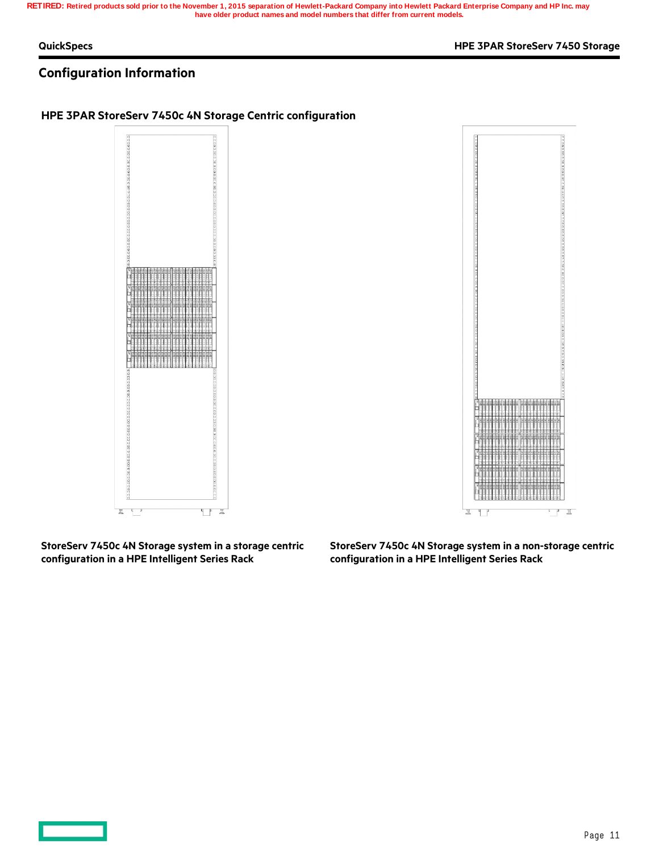#### **QuickSpecs HPE 3PAR StoreServ 7450 Storage**

## **Configuration Information**

### **HPE 3PAR StoreServ 7450c 4N Storage Centric configuration**





**StoreServ 7450c 4N Storage system in a storage centric configuration in a HPE Intelligent Series Rack**

**StoreServ 7450c 4N Storage system in a non-storage centric configuration in a HPE Intelligent Series Rack**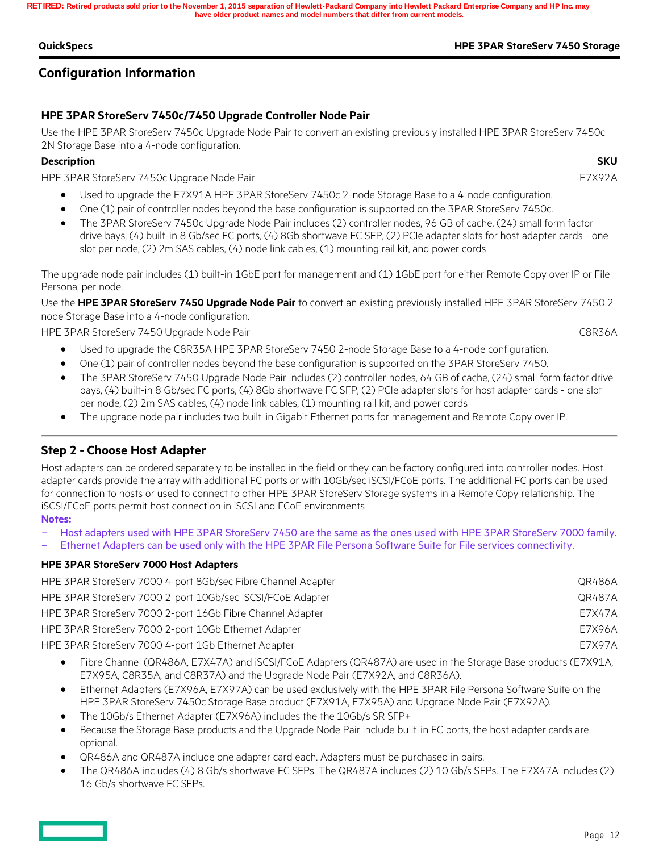### **QuickSpecs HPE 3PAR StoreServ 7450 Storage**

## **Configuration Information**

## **HPE 3PAR StoreServ 7450c/7450 Upgrade Controller Node Pair**

Use the HPE 3PAR StoreServ 7450c Upgrade Node Pair to convert an existing previously installed HPE 3PAR StoreServ 7450c 2N Storage Base into a 4-node configuration.

### **Description SKU**

HPE 3PAR StoreServ 7450c Upgrade Node Pair E7X92A

- Used to upgrade the E7X91A HPE 3PAR StoreServ 7450c 2-node Storage Base to a 4-node configuration.
- One (1) pair of controller nodes beyond the base configuration is supported on the 3PAR StoreServ 7450c.
- The 3PAR StoreServ 7450c Upgrade Node Pair includes (2) controller nodes, 96 GB of cache, (24) small form factor drive bays, (4) built-in 8 Gb/sec FC ports, (4) 8Gb shortwave FC SFP, (2) PCIe adapter slots for host adapter cards - one slot per node, (2) 2m SAS cables, (4) node link cables, (1) mounting rail kit, and power cords

The upgrade node pair includes (1) built-in 1GbE port for management and (1) 1GbE port for either Remote Copy over IP or File Persona, per node.

Use the **HPE 3PAR StoreServ 7450 Upgrade Node Pair** to convert an existing previously installed HPE 3PAR StoreServ 7450 2 node Storage Base into a 4-node configuration.

HPE 3PAR StoreServ 7450 Upgrade Node Pair CBR36A

- Used to upgrade the C8R35A HPE 3PAR StoreServ 7450 2-node Storage Base to a 4-node configuration.
- One (1) pair of controller nodes beyond the base configuration is supported on the 3PAR StoreServ 7450.
- The 3PAR StoreServ 7450 Upgrade Node Pair includes (2) controller nodes, 64 GB of cache, (24) small form factor drive bays, (4) built-in 8 Gb/sec FC ports, (4) 8Gb shortwave FC SFP, (2) PCIe adapter slots for host adapter cards - one slot per node, (2) 2m SAS cables, (4) node link cables, (1) mounting rail kit, and power cords
- The upgrade node pair includes two built-in Gigabit Ethernet ports for management and Remote Copy over IP.

## **Step 2 - Choose Host Adapter**

Host adapters can be ordered separately to be installed in the field or they can be factory configured into controller nodes. Host adapter cards provide the array with additional FC ports or with 10Gb/sec iSCSI/FCoE ports. The additional FC ports can be used for connection to hosts or used to connect to other HPE 3PAR StoreServ Storage systems in a Remote Copy relationship. The iSCSI/FCoE ports permit host connection in iSCSI and FCoE environments

#### **Notes:**

- Host adapters used with HPE 3PAR StoreServ 7450 are the same as the ones used with HPE 3PAR StoreServ 7000 family.
- Ethernet Adapters can be used only with the HPE 3PAR File Persona Software Suite for File services connectivity.

### **HPE 3PAR StoreServ 7000 Host Adapters**

| HPE 3PAR StoreServ 7000 4-port 8Gb/sec Fibre Channel Adapter | QR486A |
|--------------------------------------------------------------|--------|
| HPE 3PAR StoreServ 7000 2-port 10Gb/sec iSCSI/FCoE Adapter   | QR487A |
| HPE 3PAR StoreServ 7000 2-port 16Gb Fibre Channel Adapter    | E7X47A |
| HPE 3PAR StoreServ 7000 2-port 10Gb Ethernet Adapter         | E7X96A |
| HPE 3PAR StoreServ 7000 4-port 1Gb Ethernet Adapter          | E7X97A |

- Fibre Channel (QR486A, E7X47A) and iSCSI/FCoE Adapters (QR487A) are used in the Storage Base products (E7X91A, E7X95A, C8R35A, and C8R37A) and the Upgrade Node Pair (E7X92A, and C8R36A).
- Ethernet Adapters (E7X96A, E7X97A) can be used exclusively with the HPE 3PAR File Persona Software Suite on the HPE 3PAR StoreServ 7450c Storage Base product (E7X91A, E7X95A) and Upgrade Node Pair (E7X92A).
- The 10Gb/s Ethernet Adapter (E7X96A) includes the the 10Gb/s SR SFP+
- Because the Storage Base products and the Upgrade Node Pair include built-in FC ports, the host adapter cards are optional.
- QR486A and QR487A include one adapter card each. Adapters must be purchased in pairs.
- The QR486A includes (4) 8 Gb/s shortwave FC SFPs. The QR487A includes (2) 10 Gb/s SFPs. The E7X47A includes (2) 16 Gb/s shortwave FC SFPs.

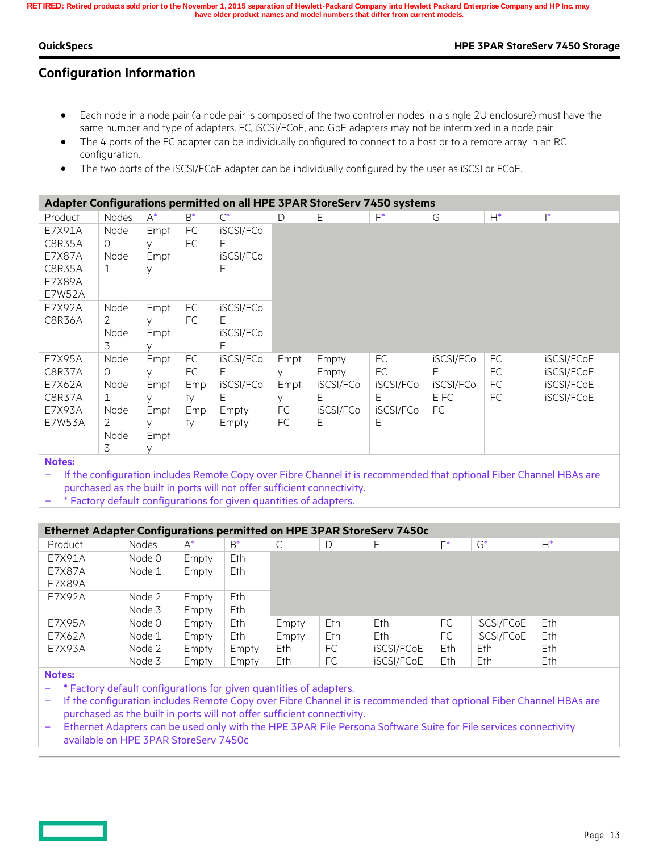#### **QuickSpecs HPE 3PAR StoreServ 7450 Storage**

## **Configuration Information**

- Each node in a node pair (a node pair is composed of the two controller nodes in a single 2U enclosure) must have the same number and type of adapters. FC, iSCSI/FCoE, and GbE adapters may not be intermixed in a node pair.
- The 4 ports of the FC adapter can be individually configured to connect to a host or to a remote array in an RC configuration.
- The two ports of the iSCSI/FCoE adapter can be individually configured by the user as iSCSI or FCoE.

|                |              |        |       | Adapter Configurations permitted on all HPE 3PAR StoreServ 7450 systems |      |           |           |           |           |                |
|----------------|--------------|--------|-------|-------------------------------------------------------------------------|------|-----------|-----------|-----------|-----------|----------------|
| Product        | Nodes        | $A^*$  | $B^*$ | $\mathsf{C}^*$                                                          | D    | Ε         | F*        | G         | $H^*$     | $\mathsf{I}^*$ |
| E7X91A         | Node         | Empt   | FC    | iSCSI/FCo                                                               |      |           |           |           |           |                |
| C8R35A         | $\Omega$     | y      | FC    | E.                                                                      |      |           |           |           |           |                |
| E7X87A         | Node         | Empt   |       | iSCSI/FCo                                                               |      |           |           |           |           |                |
| C8R35A         | $\mathbf{1}$ | y      |       | E                                                                       |      |           |           |           |           |                |
| <b>E7X89A</b>  |              |        |       |                                                                         |      |           |           |           |           |                |
| E7W52A         |              |        |       |                                                                         |      |           |           |           |           |                |
| E7X92A         | Node         | Empt   | FC    | iSCSI/FCo                                                               |      |           |           |           |           |                |
| C8R36A         | 2            | y      | FC    | F.                                                                      |      |           |           |           |           |                |
|                | Node         | Empt   |       | iSCSI/FCo                                                               |      |           |           |           |           |                |
|                | 3            | $\vee$ |       | E.                                                                      |      |           |           |           |           |                |
| E7X95A         | Node         | Empt   | FC    | iSCSI/FCo                                                               | Empt | Empty     | FC        | iSCSI/FCo | <b>FC</b> | iSCSI/FCoE     |
| C8R37A         | $\Omega$     | $\vee$ | FC    | E.                                                                      | V    | Empty     | FC        | E.        | FC.       | iSCSI/FCoE     |
| E7X62A         | Node         | Empt   | Emp   | iSCSI/FCo                                                               | Empt | iSCSI/FCo | iSCSI/FCo | iSCSI/FCo | FC        | iSCSI/FCoE     |
| C8R37A         | $\mathbf{1}$ | y      | ty    | E                                                                       | V    | E         | E.        | E FC      | FC.       | iSCSI/FCoE     |
| E7X93A         | Node         | Empt   | Emp   | Empty                                                                   | FC   | iSCSI/FCo | iSCSI/FCo | FC.       |           |                |
| <b>E7W53A</b>  | 2            | У      | ty    | Empty                                                                   | FC   | E         | Ε         |           |           |                |
|                | Node         | Empt   |       |                                                                         |      |           |           |           |           |                |
|                | 3            | V      |       |                                                                         |      |           |           |           |           |                |
| <b>Nickage</b> |              |        |       |                                                                         |      |           |           |           |           |                |

**Notes:**

 If the configuration includes Remote Copy over Fibre Channel it is recommended that optional Fiber Channel HBAs are purchased as the built in ports will not offer sufficient connectivity.

\* Factory default configurations for given quantities of adapters.

| Ethernet Adapter Configurations permitted on HPE 3PAR StoreServ 7450c |        |       |       |       |      |            |       |                   |       |
|-----------------------------------------------------------------------|--------|-------|-------|-------|------|------------|-------|-------------------|-------|
| Product                                                               | Nodes  | $A^*$ | $B^*$ |       | D    | Ε          | $F^*$ | $G^*$             | $H^*$ |
| E7X91A                                                                | Node 0 | Empty | Eth   |       |      |            |       |                   |       |
| E7X87A                                                                | Node 1 | Empty | Eth   |       |      |            |       |                   |       |
| E7X89A                                                                |        |       |       |       |      |            |       |                   |       |
| E7X92A                                                                | Node 2 | Empty | Eth   |       |      |            |       |                   |       |
|                                                                       | Node 3 | Empty | Eth   |       |      |            |       |                   |       |
| E7X95A                                                                | Node 0 | Empty | Eth   | Empty | Eth. | Eth.       | FC    | <b>iSCSI/FCoE</b> | Eth.  |
| E7X62A                                                                | Node 1 | Empty | Eth   | Empty | Eth. | Eth.       | FC    | <b>iSCSI/FCoE</b> | Eth   |
| E7X93A                                                                | Node 2 | Empty | Empty | Eth   | FC.  | iSCSI/FCoE | Eth   | Eth               | Eth.  |
|                                                                       | Node 3 | Empty | Empty | Eth   | FC   | iSCSI/FCoE | Eth   | Eth               | Eth   |

**Notes:**

 $-$  \* Factory default configurations for given quantities of adapters.

 If the configuration includes Remote Copy over Fibre Channel it is recommended that optional Fiber Channel HBAs are purchased as the built in ports will not offer sufficient connectivity.

 Ethernet Adapters can be used only with the HPE 3PAR File Persona Software Suite for File services connectivity available on HPE 3PAR StoreServ 7450c

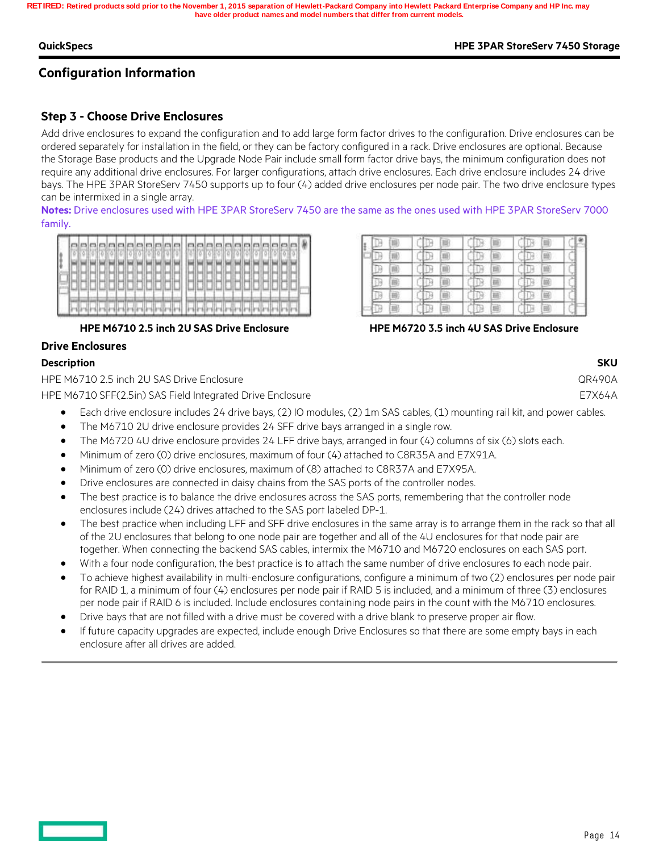#### **QuickSpecs HPE 3PAR StoreServ 7450 Storage**

## **Configuration Information**

## **Step 3 - Choose Drive Enclosures**

Add drive enclosures to expand the configuration and to add large form factor drives to the configuration. Drive enclosures can be ordered separately for installation in the field, or they can be factory configured in a rack. Drive enclosures are optional. Because the Storage Base products and the Upgrade Node Pair include small form factor drive bays, the minimum configuration does not require any additional drive enclosures. For larger configurations, attach drive enclosures. Each drive enclosure includes 24 drive bays. The HPE 3PAR StoreServ 7450 supports up to four (4) added drive enclosures per node pair. The two drive enclosure types can be intermixed in a single array.

**Notes:** Drive enclosures used with HPE 3PAR StoreServ 7450 are the same as the ones used with HPE 3PAR StoreServ 7000 family.

|  |  |  |  |  |  | anggangpangan panangangan |  |  |  |  |  |  |
|--|--|--|--|--|--|---------------------------|--|--|--|--|--|--|
|  |  |  |  |  |  |                           |  |  |  |  |  |  |
|  |  |  |  |  |  |                           |  |  |  |  |  |  |
|  |  |  |  |  |  |                           |  |  |  |  |  |  |
|  |  |  |  |  |  |                           |  |  |  |  |  |  |
|  |  |  |  |  |  |                           |  |  |  |  |  |  |
|  |  |  |  |  |  |                           |  |  |  |  |  |  |
|  |  |  |  |  |  |                           |  |  |  |  |  |  |

#### **HPE M6710 2.5 inch 2U SAS Drive Enclosure HPE M6720 3.5 inch 4U SAS Drive Enclosure**

#### **Drive Enclosures**

#### **Description SKU**

HPE M6710 2.5 inch 2U SAS Drive Enclosure QR490A

HPE M6710 SFF(2.5in) SAS Field Integrated Drive Enclosure E7X64A

- Each drive enclosure includes 24 drive bays, (2) IO modules, (2) 1m SAS cables, (1) mounting rail kit, and power cables.
- The M6710 2U drive enclosure provides 24 SFF drive bays arranged in a single row.
- The M6720 4U drive enclosure provides 24 LFF drive bays, arranged in four (4) columns of six (6) slots each.
- Minimum of zero (0) drive enclosures, maximum of four (4) attached to C8R35A and E7X91A.
- Minimum of zero (0) drive enclosures, maximum of (8) attached to C8R37A and E7X95A.
- Drive enclosures are connected in daisy chains from the SAS ports of the controller nodes.
- The best practice is to balance the drive enclosures across the SAS ports, remembering that the controller node enclosures include (24) drives attached to the SAS port labeled DP-1.
- The best practice when including LFF and SFF drive enclosures in the same array is to arrange them in the rack so that all of the 2U enclosures that belong to one node pair are together and all of the 4U enclosures for that node pair are together. When connecting the backend SAS cables, intermix the M6710 and M6720 enclosures on each SAS port.
- With a four node configuration, the best practice is to attach the same number of drive enclosures to each node pair.
- To achieve highest availability in multi-enclosure configurations, configure a minimum of two (2) enclosures per node pair for RAID 1, a minimum of four (4) enclosures per node pair if RAID 5 is included, and a minimum of three (3) enclosures per node pair if RAID 6 is included. Include enclosures containing node pairs in the count with the M6710 enclosures.
- Drive bays that are not filled with a drive must be covered with a drive blank to preserve proper air flow.
- If future capacity upgrades are expected, include enough Drive Enclosures so that there are some empty bays in each enclosure after all drives are added.

|  | ч. | 18. |  | m |  | 面 |  |
|--|----|-----|--|---|--|---|--|
|  |    | 職   |  |   |  |   |  |
|  |    | ٦   |  | 画 |  |   |  |
|  | ۶  | m   |  | ш |  | 岗 |  |
|  |    | ä   |  | в |  | 画 |  |
|  | 同  | 翤   |  | 農 |  | 圖 |  |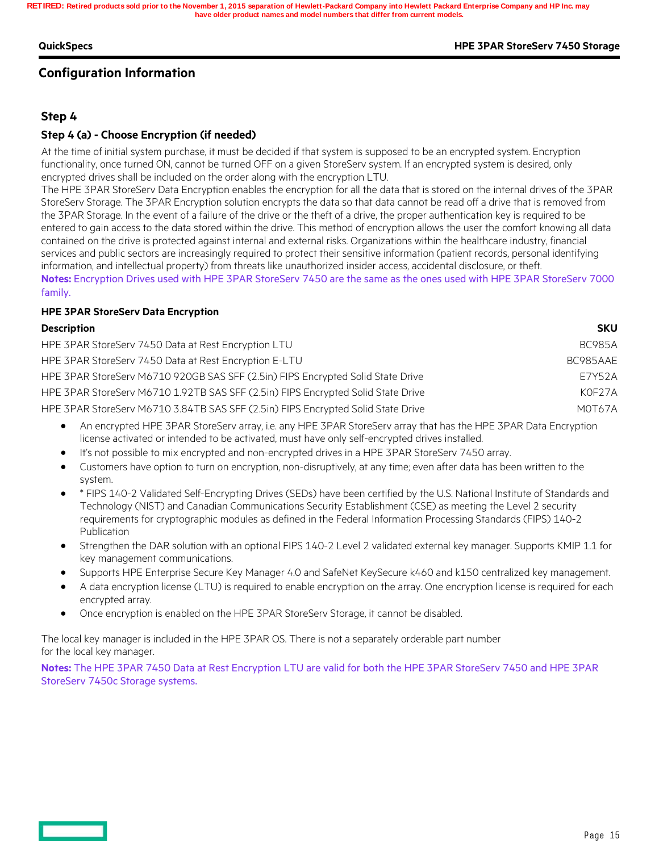#### **QuickSpecs HPE 3PAR StoreServ 7450 Storage**

## **Configuration Information**

## **Step 4**

### **Step 4 (a) - Choose Encryption (if needed)**

At the time of initial system purchase, it must be decided if that system is supposed to be an encrypted system. Encryption functionality, once turned ON, cannot be turned OFF on a given StoreServ system. If an encrypted system is desired, only encrypted drives shall be included on the order along with the encryption LTU.

The HPE 3PAR StoreServ Data Encryption enables the encryption for all the data that is stored on the internal drives of the 3PAR StoreServ Storage. The 3PAR Encryption solution encrypts the data so that data cannot be read off a drive that is removed from the 3PAR Storage. In the event of a failure of the drive or the theft of a drive, the proper authentication key is required to be entered to gain access to the data stored within the drive. This method of encryption allows the user the comfort knowing all data contained on the drive is protected against internal and external risks. Organizations within the healthcare industry, financial services and public sectors are increasingly required to protect their sensitive information (patient records, personal identifying information, and intellectual property) from threats like unauthorized insider access, accidental disclosure, or theft. **Notes:** Encryption Drives used with HPE 3PAR StoreServ 7450 are the same as the ones used with HPE 3PAR StoreServ 7000 family.

#### **HPE 3PAR StoreServ Data Encryption**

#### **Description SKU**

| HPE 3PAR StoreServ 7450 Data at Rest Encryption LTU                              | <b>BC985A</b> |
|----------------------------------------------------------------------------------|---------------|
| HPE 3PAR StoreServ 7450 Data at Rest Encryption E-LTU                            | BC985AAE      |
| HPE 3PAR StoreServ M6710 920GB SAS SFF (2.5in) FIPS Encrypted Solid State Drive  | E7Y52A        |
| HPE 3PAR StoreServ M6710 1.92TB SAS SFF (2.5in) FIPS Encrypted Solid State Drive | KOF27A        |
| HPE 3PAR StoreServ M6710 3.84TB SAS SFF (2.5in) FIPS Encrypted Solid State Drive | MOT67A        |
|                                                                                  |               |

- An encrypted HPE 3PAR StoreServ array, i.e. any HPE 3PAR StoreServ array that has the HPE 3PAR Data Encryption license activated or intended to be activated, must have only self-encrypted drives installed.
- It's not possible to mix encrypted and non-encrypted drives in a HPE 3PAR StoreServ 7450 array.
- Customers have option to turn on encryption, non-disruptively, at any time; even after data has been written to the system.
- \* FIPS 140-2 Validated Self-Encrypting Drives (SEDs) have been certified by the U.S. National Institute of Standards and Technology (NIST) and Canadian Communications Security Establishment (CSE) as meeting the Level 2 security requirements for cryptographic modules as defined in the Federal Information Processing Standards (FIPS) 140-2 Publication
- Strengthen the DAR solution with an optional FIPS 140-2 Level 2 validated external key manager. Supports KMIP 1.1 for key management communications.
- Supports HPE Enterprise Secure Key Manager 4.0 and SafeNet KeySecure k460 and k150 centralized key management.
- A data encryption license (LTU) is required to enable encryption on the array. One encryption license is required for each encrypted array.
- Once encryption is enabled on the HPE 3PAR StoreServ Storage, it cannot be disabled.

The local key manager is included in the HPE 3PAR OS. There is not a separately orderable part number for the local key manager.

**Notes:** The HPE 3PAR 7450 Data at Rest Encryption LTU are valid for both the HPE 3PAR StoreServ 7450 and HPE 3PAR StoreServ 7450c Storage systems.

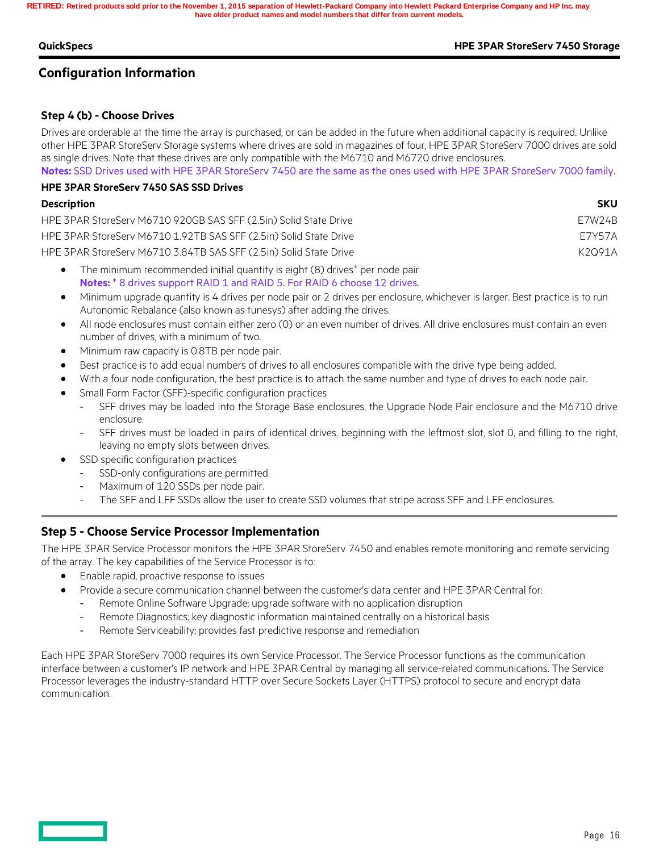#### **QuickSpecs HPE 3PAR StoreServ 7450 Storage**

## **Configuration Information**

## **Step 4 (b) - Choose Drives**

Drives are orderable at the time the array is purchased, or can be added in the future when additional capacity is required. Unlike other HPE 3PAR StoreServ Storage systems where drives are sold in magazines of four, HPE 3PAR StoreServ 7000 drives are sold as single drives. Note that these drives are only compatible with the M6710 and M6720 drive enclosures.

**Notes:** SSD Drives used with HPE 3PAR StoreServ 7450 are the same as the ones used with HPE 3PAR StoreServ 7000 family. **HPE 3PAR StoreServ 7450 SAS SSD Drives**

| <b>Description</b>                                                | <b>SKU</b> |
|-------------------------------------------------------------------|------------|
| HPE 3PAR StoreServ M6710 920GB SAS SFF (2.5in) Solid State Drive  | F7W24B     |
| HPE 3PAR StoreServ M6710 1.92TB SAS SFF (2.5in) Solid State Drive | F7Y57A     |
| HPE 3PAR StoreServ M6710 3.84TB SAS SFF (2.5in) Solid State Drive | K2091A     |
|                                                                   |            |

- The minimum recommended initial quantity is eight (8) drives\* per node pair **Notes:**  $*$  8 drives support RAID 1 and RAID 5. For RAID 6 choose 12 drives.
- Minimum upgrade quantity is 4 drives per node pair or 2 drives per enclosure, whichever is larger. Best practice is to run Autonomic Rebalance (also known as tunesys) after adding the drives.
- All node enclosures must contain either zero (0) or an even number of drives. All drive enclosures must contain an even number of drives, with a minimum of two.
- Minimum raw capacity is 0.8TB per node pair.
- Best practice is to add equal numbers of drives to all enclosures compatible with the drive type being added.
- With a four node configuration, the best practice is to attach the same number and type of drives to each node pair.
- Small Form Factor (SFF)-specific configuration practices
	- SFF drives may be loaded into the Storage Base enclosures, the Upgrade Node Pair enclosure and the M6710 drive enclosure.
	- SFF drives must be loaded in pairs of identical drives, beginning with the leftmost slot, slot 0, and filling to the right, leaving no empty slots between drives.
- SSD specific configuration practices
	- SSD-only configurations are permitted.
	- Maximum of 120 SSDs per node pair.
	- The SFF and LFF SSDs allow the user to create SSD volumes that stripe across SFF and LFF enclosures.

## **Step 5 - Choose Service Processor Implementation**

The HPE 3PAR Service Processor monitors the HPE 3PAR StoreServ 7450 and enables remote monitoring and remote servicing of the array. The key capabilities of the Service Processor is to:

- Enable rapid, proactive response to issues
- Provide a secure communication channel between the customer's data center and HPE 3PAR Central for:
	- Remote Online Software Upgrade; upgrade software with no application disruption
	- Remote Diagnostics; key diagnostic information maintained centrally on a historical basis
	- Remote Serviceability; provides fast predictive response and remediation

Each HPE 3PAR StoreServ 7000 requires its own Service Processor. The Service Processor functions as the communication interface between a customer's IP network and HPE 3PAR Central by managing all service-related communications. The Service Processor leverages the industry-standard HTTP over Secure Sockets Layer (HTTPS) protocol to secure and encrypt data communication.

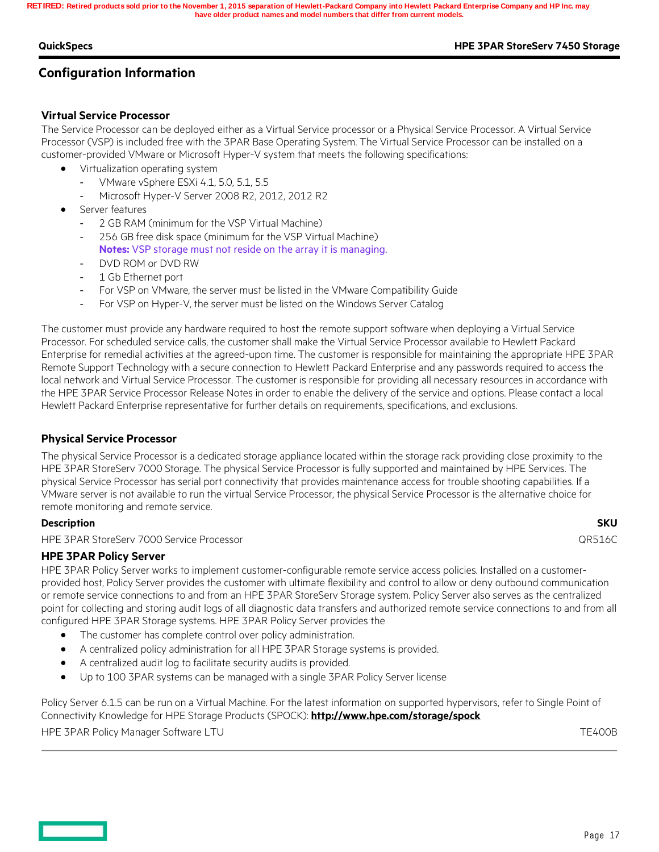**QuickSpecs HPE 3PAR StoreServ 7450 Storage**

## **Configuration Information**

#### **Virtual Service Processor**

The Service Processor can be deployed either as a Virtual Service processor or a Physical Service Processor. A Virtual Service Processor (VSP) is included free with the 3PAR Base Operating System. The Virtual Service Processor can be installed on a customer-provided VMware or Microsoft Hyper-V system that meets the following specifications:

- Virtualization operating system
	- VMware vSphere ESXi 4.1, 5.0, 5.1, 5.5
		- Microsoft Hyper-V Server 2008 R2, 2012, 2012 R2
- Server features
	- 2 GB RAM (minimum for the VSP Virtual Machine)
	- 256 GB free disk space (minimum for the VSP Virtual Machine) **Notes:** VSP storage must not reside on the array it is managing.
	- DVD ROM or DVD RW
	- 1 Gb Ethernet port
	- For VSP on VMware, the server must be listed in the VMware Compatibility Guide
	- For VSP on Hyper-V, the server must be listed on the Windows Server Catalog

The customer must provide any hardware required to host the remote support software when deploying a Virtual Service Processor. For scheduled service calls, the customer shall make the Virtual Service Processor available to Hewlett Packard Enterprise for remedial activities at the agreed-upon time. The customer is responsible for maintaining the appropriate HPE 3PAR Remote Support Technology with a secure connection to Hewlett Packard Enterprise and any passwords required to access the local network and Virtual Service Processor. The customer is responsible for providing all necessary resources in accordance with the HPE 3PAR Service Processor Release Notes in order to enable the delivery of the service and options. Please contact a local Hewlett Packard Enterprise representative for further details on requirements, specifications, and exclusions.

#### **Physical Service Processor**

The physical Service Processor is a dedicated storage appliance located within the storage rack providing close proximity to the HPE 3PAR StoreServ 7000 Storage. The physical Service Processor is fully supported and maintained by HPE Services. The physical Service Processor has serial port connectivity that provides maintenance access for trouble shooting capabilities. If a VMware server is not available to run the virtual Service Processor, the physical Service Processor is the alternative choice for remote monitoring and remote service.

#### **Description SKU**

HPE 3PAR StoreServ 7000 Service Processor QR516C

#### **HPE 3PAR Policy Server**

HPE 3PAR Policy Server works to implement customer-configurable remote service access policies. Installed on a customerprovided host, Policy Server provides the customer with ultimate flexibility and control to allow or deny outbound communication or remote service connections to and from an HPE 3PAR StoreServ Storage system. Policy Server also serves as the centralized point for collecting and storing audit logs of all diagnostic data transfers and authorized remote service connections to and from all configured HPE 3PAR Storage systems. HPE 3PAR Policy Server provides the

- The customer has complete control over policy administration.
- A centralized policy administration for all HPE 3PAR Storage systems is provided.
- A centralized audit log to facilitate security audits is provided.
- Up to 100 3PAR systems can be managed with a single 3PAR Policy Server license

Policy Server 6.1.5 can be run on a Virtual Machine. For the latest information on supported hypervisors, refer to Single Point of Connectivity Knowledge for HPE Storage Products (SPOCK): **http://www.hpe.com/storage/spock**

HPE 3PAR Policy Manager Software LTU TEADOB

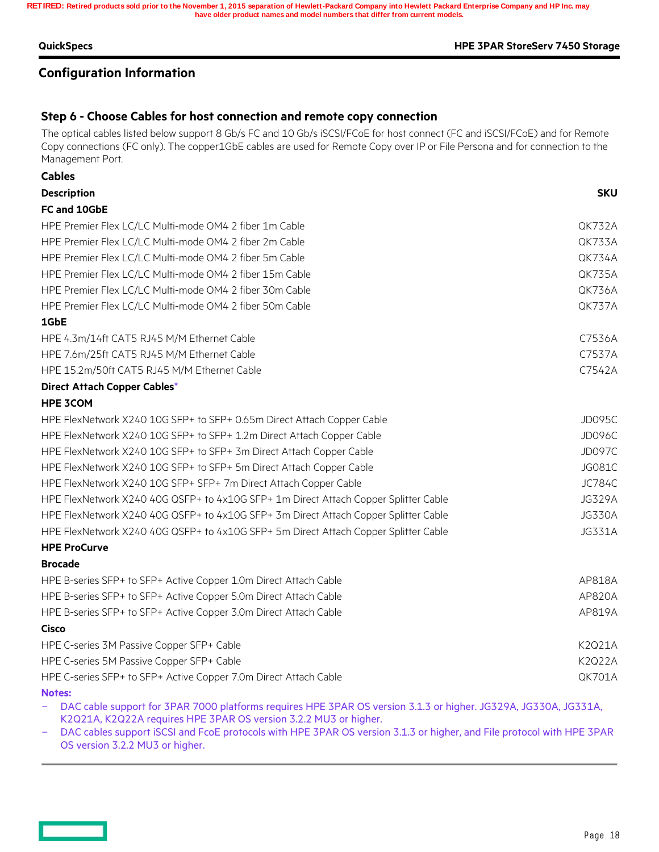#### **QuickSpecs HPE 3PAR StoreServ 7450 Storage**

## **Configuration Information**

## **Step 6 - Choose Cables for host connection and remote copy connection**

The optical cables listed below support 8 Gb/s FC and 10 Gb/s iSCSI/FCoE for host connect (FC and iSCSI/FCoE) and for Remote Copy connections (FC only). The copper1GbE cables are used for Remote Copy over IP or File Persona and for connection to the Management Port.

| <b>Cables</b>                                                                       |               |
|-------------------------------------------------------------------------------------|---------------|
| <b>Description</b>                                                                  | <b>SKU</b>    |
| FC and 10GbE                                                                        |               |
| HPE Premier Flex LC/LC Multi-mode OM4 2 fiber 1m Cable                              | <b>QK732A</b> |
| HPE Premier Flex LC/LC Multi-mode OM4 2 fiber 2m Cable                              | QK733A        |
| HPE Premier Flex LC/LC Multi-mode OM4 2 fiber 5m Cable                              | <b>QK734A</b> |
| HPE Premier Flex LC/LC Multi-mode OM4 2 fiber 15m Cable                             | <b>QK735A</b> |
| HPE Premier Flex LC/LC Multi-mode OM4 2 fiber 30m Cable                             | <b>QK736A</b> |
| HPE Premier Flex LC/LC Multi-mode OM4 2 fiber 50m Cable                             | <b>QK737A</b> |
| 1GbE                                                                                |               |
| HPE 4.3m/14ft CAT5 RJ45 M/M Ethernet Cable                                          | C7536A        |
| HPE 7.6m/25ft CAT5 RJ45 M/M Ethernet Cable                                          | C7537A        |
| HPE 15.2m/50ft CAT5 RJ45 M/M Ethernet Cable                                         | C7542A        |
| Direct Attach Copper Cables*                                                        |               |
| <b>HPE 3COM</b>                                                                     |               |
| HPE FlexNetwork X240 10G SFP+ to SFP+ 0.65m Direct Attach Copper Cable              | JD095C        |
| HPE FlexNetwork X240 10G SFP+ to SFP+ 1.2m Direct Attach Copper Cable               | <b>JD096C</b> |
| HPE FlexNetwork X240 10G SFP+ to SFP+ 3m Direct Attach Copper Cable                 | <b>JD097C</b> |
| HPE FlexNetwork X240 10G SFP+ to SFP+ 5m Direct Attach Copper Cable                 | <b>JG081C</b> |
| HPE FlexNetwork X240 10G SFP+ SFP+ 7m Direct Attach Copper Cable                    | <b>JC784C</b> |
| HPE FlexNetwork X240 40G QSFP+ to 4x10G SFP+ 1m Direct Attach Copper Splitter Cable | <b>JG329A</b> |
| HPE FlexNetwork X240 40G QSFP+ to 4x10G SFP+ 3m Direct Attach Copper Splitter Cable | <b>JG330A</b> |
| HPE FlexNetwork X240 40G QSFP+ to 4x10G SFP+ 5m Direct Attach Copper Splitter Cable | JG331A        |
| <b>HPE ProCurve</b>                                                                 |               |
| <b>Brocade</b>                                                                      |               |
| HPE B-series SFP+ to SFP+ Active Copper 1.0m Direct Attach Cable                    | AP818A        |
| HPE B-series SFP+ to SFP+ Active Copper 5.0m Direct Attach Cable                    | AP820A        |
| HPE B-series SFP+ to SFP+ Active Copper 3.0m Direct Attach Cable                    | AP819A        |
| Cisco                                                                               |               |
| HPE C-series 3M Passive Copper SFP+ Cable                                           | K2Q21A        |
| HPE C-series 5M Passive Copper SFP+ Cable                                           | K2Q22A        |
| HPE C-series SFP+ to SFP+ Active Copper 7.0m Direct Attach Cable                    | <b>QK701A</b> |
| <b>Notes:</b>                                                                       |               |

 DAC cable support for 3PAR 7000 platforms requires HPE 3PAR OS version 3.1.3 or higher. JG329A, JG330A, JG331A, K2Q21A, K2Q22A requires HPE 3PAR OS version 3.2.2 MU3 or higher.

 DAC cables support iSCSI and FcoE protocols with HPE 3PAR OS version 3.1.3 or higher, and File protocol with HPE 3PAR OS version 3.2.2 MU3 or higher.

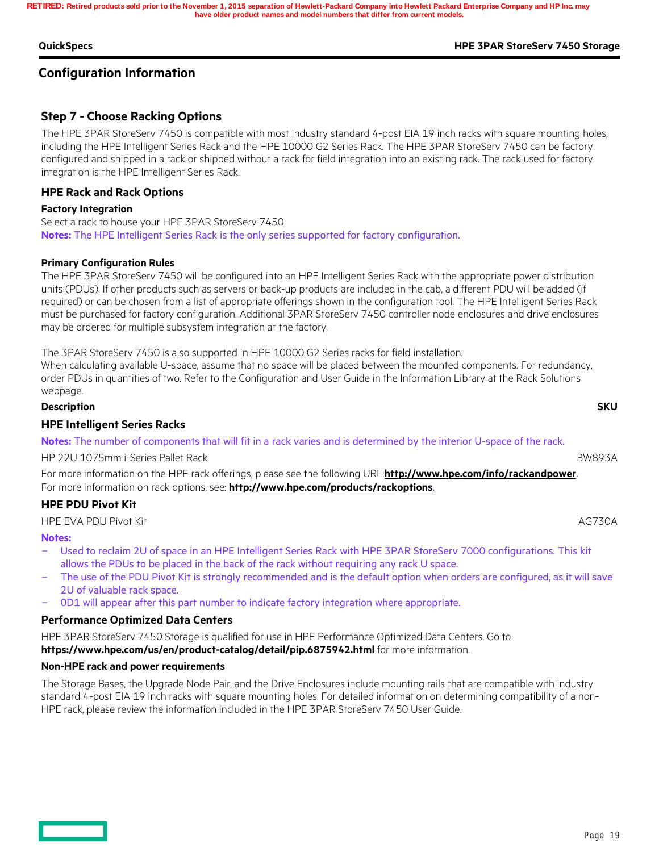#### **QuickSpecs HPE 3PAR StoreServ 7450 Storage**

## **Configuration Information**

## **Step 7 - Choose Racking Options**

The HPE 3PAR StoreServ 7450 is compatible with most industry standard 4-post EIA 19 inch racks with square mounting holes, including the HPE Intelligent Series Rack and the HPE 10000 G2 Series Rack. The HPE 3PAR StoreServ 7450 can be factory configured and shipped in a rack or shipped without a rack for field integration into an existing rack. The rack used for factory integration is the HPE Intelligent Series Rack.

#### **HPE Rack and Rack Options**

#### **Factory Integration**

Select a rack to house your HPE 3PAR StoreServ 7450. **Notes:** The HPE Intelligent Series Rack is the only series supported for factory configuration.

#### **Primary Configuration Rules**

The HPE 3PAR StoreServ 7450 will be configured into an HPE Intelligent Series Rack with the appropriate power distribution units (PDUs). If other products such as servers or back-up products are included in the cab, a different PDU will be added (if required) or can be chosen from a list of appropriate offerings shown in the configuration tool. The HPE Intelligent Series Rack must be purchased for factory configuration. Additional 3PAR StoreServ 7450 controller node enclosures and drive enclosures may be ordered for multiple subsystem integration at the factory.

The 3PAR StoreServ 7450 is also supported in HPE 10000 G2 Series racks for field installation. When calculating available U-space, assume that no space will be placed between the mounted components. For redundancy, order PDUs in quantities of two. Refer to the Configuration and User Guide in the Information Library at the Rack Solutions webpage.

**Description SKU HPE Intelligent Series Racks Notes:** The number of components that will fit in a rack varies and is determined by the interior U-space of the rack. HP 22U 1075mm i-Series Pallet Rack BW893A For more information on the HPE rack offerings, please see the following URL:**http://www.hpe.com/info/rackandpower**. For more information on rack options, see: **http://www.hpe.com/products/rackoptions**. **HPE PDU Pivot Kit** 

HPE EVA PDU Pivot Kit AG730A

#### **Notes:**

- Used to reclaim 2U of space in an HPE Intelligent Series Rack with HPE 3PAR StoreServ 7000 configurations. This kit allows the PDUs to be placed in the back of the rack without requiring any rack U space.
- The use of the PDU Pivot Kit is strongly recommended and is the default option when orders are configured, as it will save 2U of valuable rack space.
- 0D1 will appear after this part number to indicate factory integration where appropriate.

#### **Performance Optimized Data Centers**

HPE 3PAR StoreServ 7450 Storage is qualified for use in HPE Performance Optimized Data Centers. Go to **https://www.hpe.com/us/en/product-catalog/detail/pip.6875942.html** for more information.

#### **Non-HPE rack and power requirements**

The Storage Bases, the Upgrade Node Pair, and the Drive Enclosures include mounting rails that are compatible with industry standard 4-post EIA 19 inch racks with square mounting holes. For detailed information on determining compatibility of a non-HPE rack, please review the information included in the HPE 3PAR StoreServ 7450 User Guide.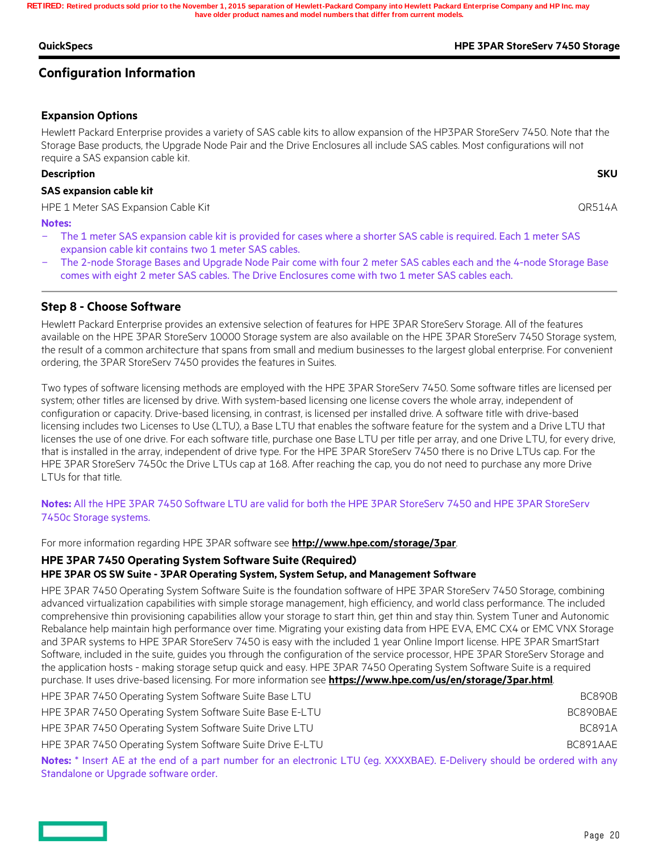#### **QuickSpecs HPE 3PAR StoreServ 7450 Storage**

## **Configuration Information**

### **Expansion Options**

**SAS expansion cable kit**

Hewlett Packard Enterprise provides a variety of SAS cable kits to allow expansion of the HP3PAR StoreServ 7450. Note that the Storage Base products, the Upgrade Node Pair and the Drive Enclosures all include SAS cables. Most configurations will not require a SAS expansion cable kit.

#### **Description SKU**

**Notes:** 

HPE 1 Meter SAS Expansion Cable Kit QR514A

- The 1 meter SAS expansion cable kit is provided for cases where a shorter SAS cable is required. Each 1 meter SAS expansion cable kit contains two 1 meter SAS cables.
- The 2-node Storage Bases and Upgrade Node Pair come with four 2 meter SAS cables each and the 4-node Storage Base comes with eight 2 meter SAS cables. The Drive Enclosures come with two 1 meter SAS cables each.

## **Step 8 - Choose Software**

Hewlett Packard Enterprise provides an extensive selection of features for HPE 3PAR StoreServ Storage. All of the features available on the HPE 3PAR StoreServ 10000 Storage system are also available on the HPE 3PAR StoreServ 7450 Storage system, the result of a common architecture that spans from small and medium businesses to the largest global enterprise. For convenient ordering, the 3PAR StoreServ 7450 provides the features in Suites.

Two types of software licensing methods are employed with the HPE 3PAR StoreServ 7450. Some software titles are licensed per system; other titles are licensed by drive. With system-based licensing one license covers the whole array, independent of configuration or capacity. Drive-based licensing, in contrast, is licensed per installed drive. A software title with drive-based licensing includes two Licenses to Use (LTU), a Base LTU that enables the software feature for the system and a Drive LTU that licenses the use of one drive. For each software title, purchase one Base LTU per title per array, and one Drive LTU, for every drive, that is installed in the array, independent of drive type. For the HPE 3PAR StoreServ 7450 there is no Drive LTUs cap. For the HPE 3PAR StoreServ 7450c the Drive LTUs cap at 168. After reaching the cap, you do not need to purchase any more Drive LTUs for that title.

## **Notes:** All the HPE 3PAR 7450 Software LTU are valid for both the HPE 3PAR StoreServ 7450 and HPE 3PAR StoreServ 7450c Storage systems.

For more information regarding HPE 3PAR software see **http://www.hpe.com/storage/3par**.

### **HPE 3PAR 7450 Operating System Software Suite (Required)**

### **HPE 3PAR OS SW Suite - 3PAR Operating System, System Setup, and Management Software**

HPE 3PAR 7450 Operating System Software Suite is the foundation software of HPE 3PAR StoreServ 7450 Storage, combining advanced virtualization capabilities with simple storage management, high efficiency, and world class performance. The included comprehensive thin provisioning capabilities allow your storage to start thin, get thin and stay thin. System Tuner and Autonomic Rebalance help maintain high performance over time. Migrating your existing data from HPE EVA, EMC CX4 or EMC VNX Storage and 3PAR systems to HPE 3PAR StoreServ 7450 is easy with the included 1 year Online Import license. HPE 3PAR SmartStart Software, included in the suite, guides you through the configuration of the service processor, HPE 3PAR StoreServ Storage and the application hosts - making storage setup quick and easy. HPE 3PAR 7450 Operating System Software Suite is a required purchase. It uses drive-based licensing. For more information see **https://www.hpe.com/us/en/storage/3par.html**.

| HPE 3PAR 7450 Operating System Software Suite Base LTU                                                                             |  | BC890B   |
|------------------------------------------------------------------------------------------------------------------------------------|--|----------|
| HPE 3PAR 7450 Operating System Software Suite Base E-LTU                                                                           |  | BC890BAE |
| HPE 3PAR 7450 Operating System Software Suite Drive LTU                                                                            |  | BC891A   |
| HPE 3PAR 7450 Operating System Software Suite Drive E-LTU                                                                          |  | BC891AAF |
| Notes <sup>*</sup> Insert AF at the end of a part number for an electronic LTU (eq. XXXXRAF) E-Delivery should be ordered with any |  |          |

**Notes:** \* Insert AE at the end of a part number for an electronic LTU (eg. XXXXBAE). E-Delivery should be ordered with any Standalone or Upgrade software order.

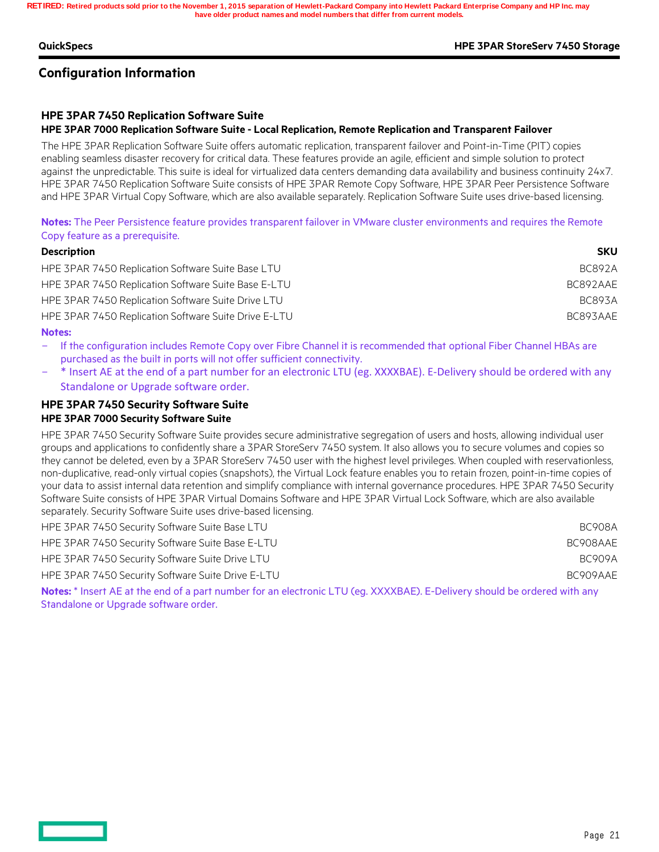#### **QuickSpecs HPE 3PAR StoreServ 7450 Storage**

## **Configuration Information**

### **HPE 3PAR 7450 Replication Software Suite**

#### **HPE 3PAR 7000 Replication Software Suite - Local Replication, Remote Replication and Transparent Failover**

The HPE 3PAR Replication Software Suite offers automatic replication, transparent failover and Point-in-Time (PIT) copies enabling seamless disaster recovery for critical data. These features provide an agile, efficient and simple solution to protect against the unpredictable. This suite is ideal for virtualized data centers demanding data availability and business continuity 24x7. HPE 3PAR 7450 Replication Software Suite consists of HPE 3PAR Remote Copy Software, HPE 3PAR Peer Persistence Software and HPE 3PAR Virtual Copy Software, which are also available separately. Replication Software Suite uses drive-based licensing.

**Notes:** The Peer Persistence feature provides transparent failover in VMware cluster environments and requires the Remote Copy feature as a prerequisite.

| <b>Description</b>                                   | <b>SKU</b>    |
|------------------------------------------------------|---------------|
| HPE 3PAR 7450 Replication Software Suite Base LTU    | <b>BC892A</b> |
| HPE 3PAR 7450 Replication Software Suite Base E-LTU  | BC892AAE      |
| HPE 3PAR 7450 Replication Software Suite Drive LTU   | <b>BC893A</b> |
| HPE 3PAR 7450 Replication Software Suite Drive E-LTU | BC893AAE      |

#### **Notes:**

 If the configuration includes Remote Copy over Fibre Channel it is recommended that optional Fiber Channel HBAs are purchased as the built in ports will not offer sufficient connectivity.

 \* Insert AE at the end of a part number for an electronic LTU (eg. XXXXBAE). E-Delivery should be ordered with any Standalone or Upgrade software order.

#### **HPE 3PAR 7450 Security Software Suite HPE 3PAR 7000 Security Software Suite**

HPE 3PAR 7450 Security Software Suite provides secure administrative segregation of users and hosts, allowing individual user groups and applications to confidently share a 3PAR StoreServ 7450 system. It also allows you to secure volumes and copies so they cannot be deleted, even by a 3PAR StoreServ 7450 user with the highest level privileges. When coupled with reservationless, non-duplicative, read-only virtual copies (snapshots), the Virtual Lock feature enables you to retain frozen, point-in-time copies of your data to assist internal data retention and simplify compliance with internal governance procedures. HPE 3PAR 7450 Security Software Suite consists of HPE 3PAR Virtual Domains Software and HPE 3PAR Virtual Lock Software, which are also available separately. Security Software Suite uses drive-based licensing.

| HPE 3PAR 7450 Security Software Suite Base LTU                                                                                     | BC908A   |
|------------------------------------------------------------------------------------------------------------------------------------|----------|
| HPE 3PAR 7450 Security Software Suite Base E-LTU                                                                                   | BC908AAE |
| HPE 3PAR 7450 Security Software Suite Drive LTU                                                                                    | BC909A   |
| HPE 3PAR 7450 Security Software Suite Drive E-LTU                                                                                  | BC909AAF |
| Notes <sup>*</sup> Insert AF at the end of a part number for an electronic LTU (eq. XXXXRAF) E-Delivery should be ordered with any |          |

**Int number for an electronic LTU (eg. XXXXBAE). E-Delivery should be ordered with any strain and product any s** Standalone or Upgrade software order.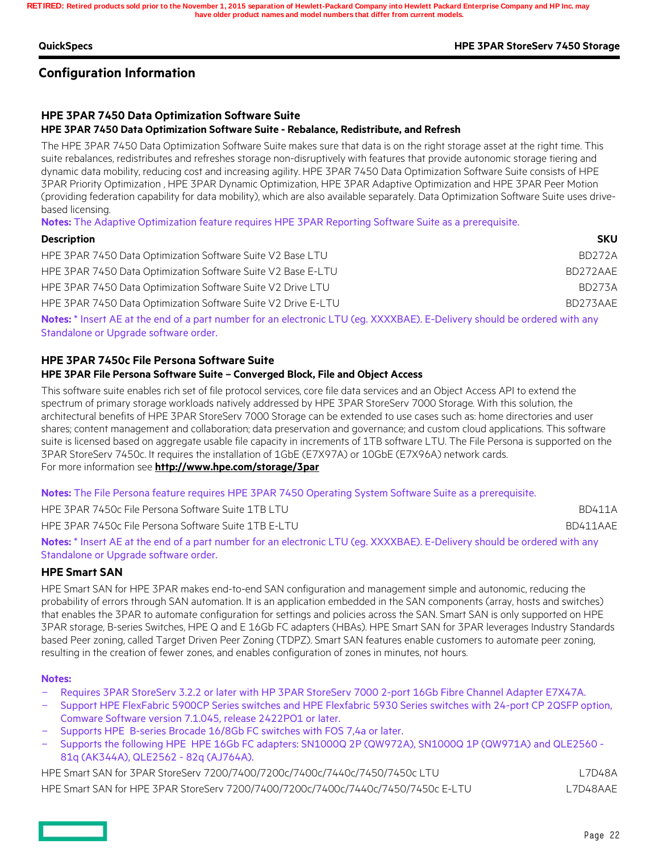#### **QuickSpecs HPE 3PAR StoreServ 7450 Storage**

## **Configuration Information**

## **HPE 3PAR 7450 Data Optimization Software Suite**

#### **HPE 3PAR 7450 Data Optimization Software Suite - Rebalance, Redistribute, and Refresh**

The HPE 3PAR 7450 Data Optimization Software Suite makes sure that data is on the right storage asset at the right time. This suite rebalances, redistributes and refreshes storage non-disruptively with features that provide autonomic storage tiering and dynamic data mobility, reducing cost and increasing agility. HPE 3PAR 7450 Data Optimization Software Suite consists of HPE 3PAR Priority Optimization , HPE 3PAR Dynamic Optimization, HPE 3PAR Adaptive Optimization and HPE 3PAR Peer Motion (providing federation capability for data mobility), which are also available separately. Data Optimization Software Suite uses drivebased licensing.

**Notes:** The Adaptive Optimization feature requires HPE 3PAR Reporting Software Suite as a prerequisite.

| <b>Description</b>                                                                                                       | <b>SKU</b>    |
|--------------------------------------------------------------------------------------------------------------------------|---------------|
| HPE 3PAR 7450 Data Optimization Software Suite V2 Base LTU                                                               | BD272A        |
| HPE 3PAR 7450 Data Optimization Software Suite V2 Base E-LTU                                                             | BD272AAE      |
| HPE 3PAR 7450 Data Optimization Software Suite V2 Drive LTU                                                              | <b>BD273A</b> |
| HPE 3PAR 7450 Data Optimization Software Suite V2 Drive E-LTU                                                            | BD273AAE      |
| Notes: * Insert AE at the end of a part number for an electronic UTH (eq. YVYVRAE) E-Delivery should be endered with any |               |

**Notes:** \* Insert AE at the end of a part number for an electronic LTU (eg. XXXXBAE). E-Delivery should be ordered with any Standalone or Upgrade software order.

### **HPE 3PAR 7450c File Persona Software Suite**

#### **HPE 3PAR File Persona Software Suite – Converged Block, File and Object Access**

This software suite enables rich set of file protocol services, core file data services and an Object Access API to extend the spectrum of primary storage workloads natively addressed by HPE 3PAR StoreServ 7000 Storage. With this solution, the architectural benefits of HPE 3PAR StoreServ 7000 Storage can be extended to use cases such as: home directories and user shares; content management and collaboration; data preservation and governance; and custom cloud applications. This software suite is licensed based on aggregate usable file capacity in increments of 1TB software LTU. The File Persona is supported on the 3PAR StoreServ 7450c. It requires the installation of 1GbE (E7X97A) or 10GbE (E7X96A) network cards. For more information see **http://www.hpe.com/storage/3par**

**Notes:** The File Persona feature requires HPE 3PAR 7450 Operating System Software Suite as a prerequisite.

HPE 3PAR 7450c File Persona Software Suite 1TB LTU and the state of the state of the BD411A HPE 3PAR 7450c File Persona Software Suite 1TB E-LTU BD411AAE

**Notes:** \* Insert AE at the end of a part number for an electronic LTU (eg. XXXXBAE). E-Delivery should be ordered with any Standalone or Upgrade software order.

### **HPE Smart SAN**

HPE Smart SAN for HPE 3PAR makes end-to-end SAN configuration and management simple and autonomic, reducing the probability of errors through SAN automation. It is an application embedded in the SAN components (array, hosts and switches) that enables the 3PAR to automate configuration for settings and policies across the SAN. Smart SAN is only supported on HPE 3PAR storage, B-series Switches, HPE Q and E 16Gb FC adapters (HBAs). HPE Smart SAN for 3PAR leverages Industry Standards based Peer zoning, called Target Driven Peer Zoning (TDPZ). Smart SAN features enable customers to automate peer zoning, resulting in the creation of fewer zones, and enables configuration of zones in minutes, not hours.

#### **Notes:**

- Requires 3PAR StoreServ 3.2.2 or later with HP 3PAR StoreServ 7000 2-port 16Gb Fibre Channel Adapter E7X47A.
- Support HPE FlexFabric 5900CP Series switches and HPE Flexfabric 5930 Series switches with 24-port CP 2QSFP option, Comware Software version 7.1.045, release 2422PO1 or later.
- Supports HPE B-series Brocade 16/8Gb FC switches with FOS 7,4a or later.
- Supports the following HPE HPE 16Gb FC adapters: SN1000Q 2P (QW972A), SN1000Q 1P (QW971A) and QLE2560 81q (AK344A), QLE2562 - 82q (AJ764A).

HPE Smart SAN for 3PAR StoreServ 7200/7400/7200c/7400c/7440c/7450/7450c LTU L7D48A HPE Smart SAN for HPE 3PAR StoreServ 7200/7400/7200c/7400c/7440c/7450/7450c E-LTU L7D48AAE

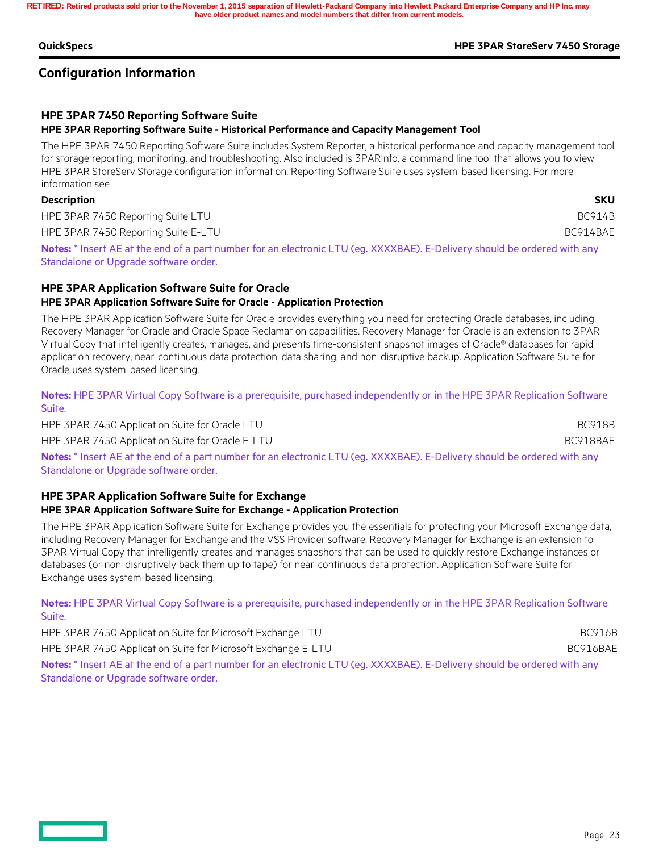#### **QuickSpecs HPE 3PAR StoreServ 7450 Storage**

## **Configuration Information**

### **HPE 3PAR 7450 Reporting Software Suite**

#### **HPE 3PAR Reporting Software Suite - Historical Performance and Capacity Management Tool**

The HPE 3PAR 7450 Reporting Software Suite includes System Reporter, a historical performance and capacity management tool for storage reporting, monitoring, and troubleshooting. Also included is 3PARInfo, a command line tool that allows you to view HPE 3PAR StoreServ Storage configuration information. Reporting Software Suite uses system-based licensing. For more information see

#### **Description SKU**

HPE 3PAR 7450 Reporting Suite LTU and the state of the state of the state of the BC914B

HPE 3PAR 7450 Reporting Suite E-LTU BC914BAE

**Notes:** \* Insert AE at the end of a part number for an electronic LTU (eg. XXXXBAE). E-Delivery should be ordered with any Standalone or Upgrade software order.

### **HPE 3PAR Application Software Suite for Oracle HPE 3PAR Application Software Suite for Oracle - Application Protection**

The HPE 3PAR Application Software Suite for Oracle provides everything you need for protecting Oracle databases, including Recovery Manager for Oracle and Oracle Space Reclamation capabilities. Recovery Manager for Oracle is an extension to 3PAR Virtual Copy that intelligently creates, manages, and presents time-consistent snapshot images of Oracle® databases for rapid application recovery, near-continuous data protection, data sharing, and non-disruptive backup. Application Software Suite for Oracle uses system-based licensing.

**Notes:** HPE 3PAR Virtual Copy Software is a prerequisite, purchased independently or in the HPE 3PAR Replication Software Suite.

HPE 3PAR 7450 Application Suite for Oracle LTU BC918B

HPE 3PAR 7450 Application Suite for Oracle E-LTU BC918BAE and the state of the BC918BAE

**Notes:** \* Insert AE at the end of a part number for an electronic LTU (eg. XXXXBAE). E-Delivery should be ordered with any Standalone or Upgrade software order.

#### **HPE 3PAR Application Software Suite for Exchange HPE 3PAR Application Software Suite for Exchange - Application Protection**

The HPE 3PAR Application Software Suite for Exchange provides you the essentials for protecting your Microsoft Exchange data, including Recovery Manager for Exchange and the VSS Provider software. Recovery Manager for Exchange is an extension to 3PAR Virtual Copy that intelligently creates and manages snapshots that can be used to quickly restore Exchange instances or databases (or non-disruptively back them up to tape) for near-continuous data protection. Application Software Suite for Exchange uses system-based licensing.

**Notes:** HPE 3PAR Virtual Copy Software is a prerequisite, purchased independently or in the HPE 3PAR Replication Software Suite.

HPE 3PAR 7450 Application Suite for Microsoft Exchange LTU BC916B HPE 3PAR 7450 Application Suite for Microsoft Exchange E-LTU Application Suite 6C916BAE **Notes:** \* Insert AE at the end of a part number for an electronic LTU (eg. XXXXBAE). E-Delivery should be ordered with any Standalone or Upgrade software order.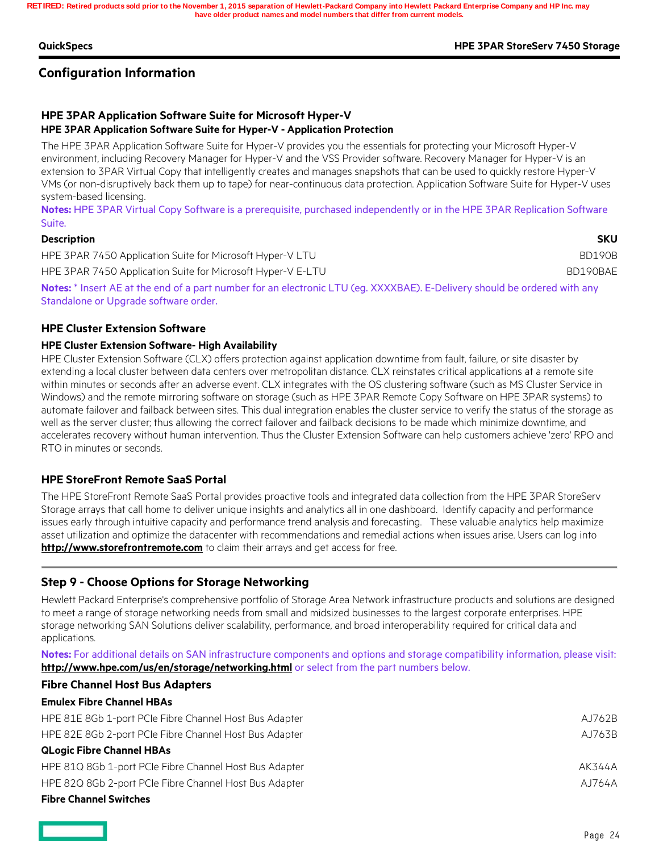#### **QuickSpecs HPE 3PAR StoreServ 7450 Storage**

## **Configuration Information**

### **HPE 3PAR Application Software Suite for Microsoft Hyper-V HPE 3PAR Application Software Suite for Hyper-V - Application Protection**

The HPE 3PAR Application Software Suite for Hyper-V provides you the essentials for protecting your Microsoft Hyper-V environment, including Recovery Manager for Hyper-V and the VSS Provider software. Recovery Manager for Hyper-V is an extension to 3PAR Virtual Copy that intelligently creates and manages snapshots that can be used to quickly restore Hyper-V VMs (or non-disruptively back them up to tape) for near-continuous data protection. Application Software Suite for Hyper-V uses system-based licensing.

**Notes:** HPE 3PAR Virtual Copy Software is a prerequisite, purchased independently or in the HPE 3PAR Replication Software Suite.

#### **Description SKU**

| HPE 3PAR 7450 Application Suite for Microsoft Hyper-V LTU                                                                                                                                                                       |  | BD190B   |
|---------------------------------------------------------------------------------------------------------------------------------------------------------------------------------------------------------------------------------|--|----------|
| HPE 3PAR 7450 Application Suite for Microsoft Hyper-V E-LTU                                                                                                                                                                     |  | BD190BAE |
| $\sim$ . The contract of the contract of the contract of the contract of the contract of the contract of the contract of the contract of the contract of the contract of the contract of the contract of the contract of the co |  |          |

**Notes:** \* Insert AE at the end of a part number for an electronic LTU (eg. XXXXBAE). E-Delivery should be ordered with any Standalone or Upgrade software order.

#### **HPE Cluster Extension Software**

#### **HPE Cluster Extension Software- High Availability**

HPE Cluster Extension Software (CLX) offers protection against application downtime from fault, failure, or site disaster by extending a local cluster between data centers over metropolitan distance. CLX reinstates critical applications at a remote site within minutes or seconds after an adverse event. CLX integrates with the OS clustering software (such as MS Cluster Service in Windows) and the remote mirroring software on storage (such as HPE 3PAR Remote Copy Software on HPE 3PAR systems) to automate failover and failback between sites. This dual integration enables the cluster service to verify the status of the storage as well as the server cluster; thus allowing the correct failover and failback decisions to be made which minimize downtime, and accelerates recovery without human intervention. Thus the Cluster Extension Software can help customers achieve 'zero' RPO and RTO in minutes or seconds.

#### **HPE StoreFront Remote SaaS Portal**

The HPE StoreFront Remote SaaS Portal provides proactive tools and integrated data collection from the HPE 3PAR StoreServ Storage arrays that call home to deliver unique insights and analytics all in one dashboard. Identify capacity and performance issues early through intuitive capacity and performance trend analysis and forecasting. These valuable analytics help maximize asset utilization and optimize the datacenter with recommendations and remedial actions when issues arise. Users can log into **http://www.storefrontremote.com** to claim their arrays and get access for free.

### **Step 9 - Choose Options for Storage Networking**

Hewlett Packard Enterprise's comprehensive portfolio of Storage Area Network infrastructure products and solutions are designed to meet a range of storage networking needs from small and midsized businesses to the largest corporate enterprises. HPE storage networking SAN Solutions deliver scalability, performance, and broad interoperability required for critical data and applications.

**Notes:** For additional details on SAN infrastructure components and options and storage compatibility information, please visit: **http://www.hpe.com/us/en/storage/networking.html** or select from the part numbers below.

#### **Fibre Channel Host Bus Adapters**

| <b>Emulex Fibre Channel HBAs</b>                       |        |
|--------------------------------------------------------|--------|
| HPE 81E 8Gb 1-port PCIe Fibre Channel Host Bus Adapter | AJ762B |
| HPE 82E 8Gb 2-port PCIe Fibre Channel Host Bus Adapter | AJ763B |
| <b>QLogic Fibre Channel HBAs</b>                       |        |
| HPE 81Q 8Gb 1-port PCIe Fibre Channel Host Bus Adapter | AK344A |
| HPE 82Q 8Gb 2-port PCIe Fibre Channel Host Bus Adapter | AJ764A |
|                                                        |        |

## **Fibre Channel Switches**

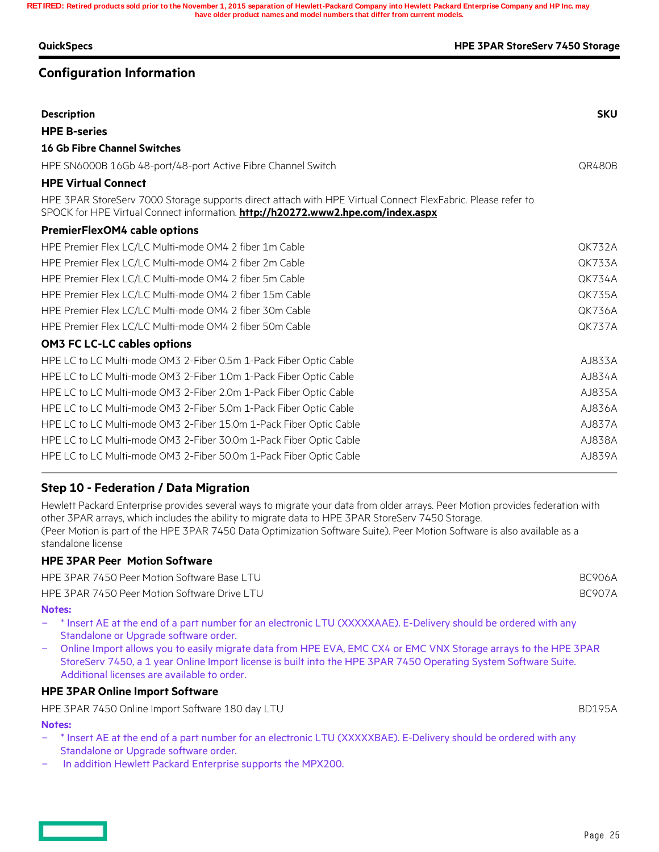| <b>QuickSpecs</b>                                                                                                                                                                               | <b>HPE 3PAR StoreServ 7450 Storage</b> |
|-------------------------------------------------------------------------------------------------------------------------------------------------------------------------------------------------|----------------------------------------|
| <b>Configuration Information</b>                                                                                                                                                                |                                        |
| <b>Description</b>                                                                                                                                                                              | <b>SKU</b>                             |
| <b>HPE B-series</b>                                                                                                                                                                             |                                        |
| <b>16 Gb Fibre Channel Switches</b>                                                                                                                                                             |                                        |
| HPE SN6000B 16Gb 48-port/48-port Active Fibre Channel Switch                                                                                                                                    | QR480B                                 |
| <b>HPE Virtual Connect</b>                                                                                                                                                                      |                                        |
| HPE 3PAR StoreServ 7000 Storage supports direct attach with HPE Virtual Connect FlexFabric. Please refer to<br>SPOCK for HPE Virtual Connect information. http://h20272.www2.hpe.com/index.aspx |                                        |
| <b>PremierFlexOM4 cable options</b>                                                                                                                                                             |                                        |
| HPE Premier Flex LC/LC Multi-mode OM4 2 fiber 1m Cable                                                                                                                                          | <b>OK732A</b>                          |
| HPE Premier Flex LC/LC Multi-mode OM4 2 fiber 2m Cable                                                                                                                                          | <b>OK733A</b>                          |
| HPE Premier Flex LC/LC Multi-mode OM4 2 fiber 5m Cable                                                                                                                                          | <b>QK734A</b>                          |
| HPE Premier Flex LC/LC Multi-mode OM4 2 fiber 15m Cable                                                                                                                                         | <b>QK735A</b>                          |
| HPE Premier Flex LC/LC Multi-mode OM4 2 fiber 30m Cable                                                                                                                                         | <b>OK736A</b>                          |
| HPE Premier Flex LC/LC Multi-mode OM4 2 fiber 50m Cable                                                                                                                                         | <b>QK737A</b>                          |
| <b>OM3 FC LC-LC cables options</b>                                                                                                                                                              |                                        |
| HPE LC to LC Multi-mode OM3 2-Fiber 0.5m 1-Pack Fiber Optic Cable                                                                                                                               | AJ833A                                 |
| HPE LC to LC Multi-mode OM3 2-Fiber 1.0m 1-Pack Fiber Optic Cable                                                                                                                               | AJ834A                                 |
| HPE LC to LC Multi-mode OM3 2-Fiber 2.0m 1-Pack Fiber Optic Cable                                                                                                                               | AJ835A                                 |
| HPE LC to LC Multi-mode OM3 2-Fiber 5.0m 1-Pack Fiber Optic Cable                                                                                                                               | AJ836A                                 |
| HPE LC to LC Multi-mode OM3 2-Fiber 15.0m 1-Pack Fiber Optic Cable                                                                                                                              | AJ837A                                 |
| HPE LC to LC Multi-mode OM3 2-Fiber 30.0m 1-Pack Fiber Optic Cable                                                                                                                              | AJ838A                                 |
| HPE LC to LC Multi-mode OM3 2-Fiber 50.0m 1-Pack Fiber Optic Cable                                                                                                                              | AJ839A                                 |

## **Step 10 - Federation / Data Migration**

Hewlett Packard Enterprise provides several ways to migrate your data from older arrays. Peer Motion provides federation with other 3PAR arrays, which includes the ability to migrate data to HPE 3PAR StoreServ 7450 Storage. (Peer Motion is part of the HPE 3PAR 7450 Data Optimization Software Suite). Peer Motion Software is also available as a standalone license

### **HPE 3PAR Peer Motion Software**

HPE 3PAR 7450 Peer Motion Software Base LTU BC906A

HPE 3PAR 7450 Peer Motion Software Drive LTU and the control of the control of the control BC907A

#### **Notes:**

- \* Insert AE at the end of a part number for an electronic LTU (XXXXXAAE). E-Delivery should be ordered with any Standalone or Upgrade software order.
- Online Import allows you to easily migrate data from HPE EVA, EMC CX4 or EMC VNX Storage arrays to the HPE 3PAR StoreServ 7450, a 1 year Online Import license is built into the HPE 3PAR 7450 Operating System Software Suite. Additional licenses are available to order.

### **HPE 3PAR Online Import Software**

HPE 3PAR 7450 Online Import Software 180 day LTU and the state of the state of the BD195A

#### **Notes:**

- \* Insert AE at the end of a part number for an electronic LTU (XXXXXBAE). E-Delivery should be ordered with any Standalone or Upgrade software order.
- In addition Hewlett Packard Enterprise supports the MPX200.

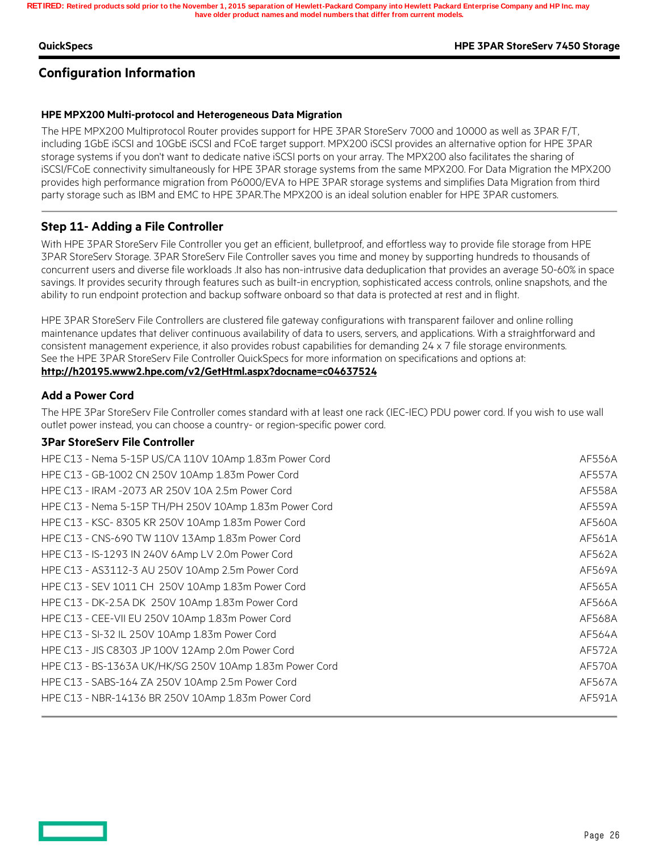#### **QuickSpecs HPE 3PAR StoreServ 7450 Storage**

## **Configuration Information**

#### **HPE MPX200 Multi-protocol and Heterogeneous Data Migration**

The HPE MPX200 Multiprotocol Router provides support for HPE 3PAR StoreServ 7000 and 10000 as well as 3PAR F/T, including 1GbE iSCSI and 10GbE iSCSI and FCoE target support. MPX200 iSCSI provides an alternative option for HPE 3PAR storage systems if you don't want to dedicate native iSCSI ports on your array. The MPX200 also facilitates the sharing of iSCSI/FCoE connectivity simultaneously for HPE 3PAR storage systems from the same MPX200. For Data Migration the MPX200 provides high performance migration from P6000/EVA to HPE 3PAR storage systems and simplifies Data Migration from third party storage such as IBM and EMC to HPE 3PAR.The MPX200 is an ideal solution enabler for HPE 3PAR customers.

### **Step 11- Adding a File Controller**

With HPE 3PAR StoreServ File Controller you get an efficient, bulletproof, and effortless way to provide file storage from HPE 3PAR StoreServ Storage. 3PAR StoreServ File Controller saves you time and money by supporting hundreds to thousands of concurrent users and diverse file workloads .It also has non-intrusive data deduplication that provides an average 50-60% in space savings. It provides security through features such as built-in encryption, sophisticated access controls, online snapshots, and the ability to run endpoint protection and backup software onboard so that data is protected at rest and in flight.

HPE 3PAR StoreServ File Controllers are clustered file gateway configurations with transparent failover and online rolling maintenance updates that deliver continuous availability of data to users, servers, and applications. With a straightforward and consistent management experience, it also provides robust capabilities for demanding 24 x 7 file storage environments. See the HPE 3PAR StoreServ File Controller QuickSpecs for more information on specifications and options at: **http://h20195.www2.hpe.com/v2/GetHtml.aspx?docname=c04637524**

#### **Add a Power Cord**

The HPE 3Par StoreServ File Controller comes standard with at least one rack (IEC-IEC) PDU power cord. If you wish to use wall outlet power instead, you can choose a country- or region-specific power cord.

#### **3Par StoreServ File Controller**

| HPE C13 - Nema 5-15P US/CA 110V 10Amp 1.83m Power Cord  | AF556A        |
|---------------------------------------------------------|---------------|
| HPE C13 - GB-1002 CN 250V 10Amp 1.83m Power Cord        | <b>AF557A</b> |
| HPE C13 - IRAM -2073 AR 250V 10A 2.5m Power Cord        | <b>AF558A</b> |
| HPE C13 - Nema 5-15P TH/PH 250V 10Amp 1.83m Power Cord  | <b>AF559A</b> |
| HPE C13 - KSC-8305 KR 250V 10Amp 1.83m Power Cord       | AF560A        |
| HPE C13 - CNS-690 TW 110V 13Amp 1.83m Power Cord        | AF561A        |
| HPE C13 - IS-1293 IN 240V 6Amp LV 2.0m Power Cord       | AF562A        |
| HPE C13 - AS3112-3 AU 250V 10Amp 2.5m Power Cord        | AF569A        |
| HPE C13 - SEV 1011 CH 250V 10Amp 1.83m Power Cord       | AF565A        |
| HPE C13 - DK-2.5A DK 250V 10Amp 1.83m Power Cord        | AF566A        |
| HPE C13 - CEE-VII EU 250V 10Amp 1.83m Power Cord        | AF568A        |
| HPE C13 - SI-32 IL 250V 10Amp 1.83m Power Cord          | AF564A        |
| HPE C13 - JIS C8303 JP 100V 12Amp 2.0m Power Cord       | AF572A        |
| HPE C13 - BS-1363A UK/HK/SG 250V 10Amp 1.83m Power Cord | AF570A        |
| HPE C13 - SABS-164 ZA 250V 10Amp 2.5m Power Cord        | AF567A        |
| HPE C13 - NBR-14136 BR 250V 10Amp 1.83m Power Cord      | AF591A        |
|                                                         |               |

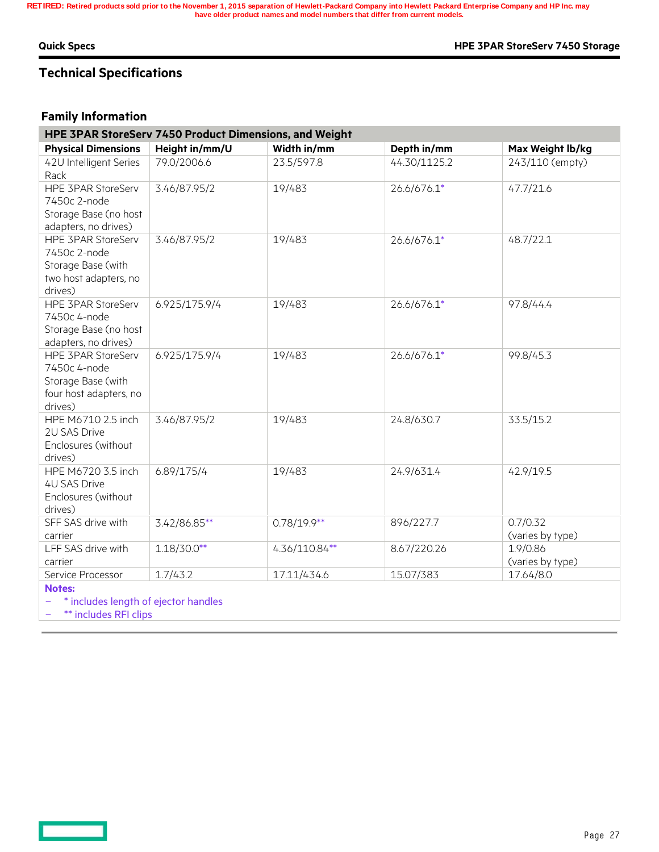#### **Quick Specs HPE 3PAR StoreServ 7450 Storage**

## **Technical Specifications**

## **Family Information**

| HPE 3PAR StoreServ 7450 Product Dimensions, and Weight                                               |                |               |              |                              |  |
|------------------------------------------------------------------------------------------------------|----------------|---------------|--------------|------------------------------|--|
| <b>Physical Dimensions</b>                                                                           | Height in/mm/U | Width in/mm   | Depth in/mm  | Max Weight lb/kg             |  |
| 42U Intelligent Series<br>Rack                                                                       | 79.0/2006.6    | 23.5/597.8    | 44.30/1125.2 | 243/110 (empty)              |  |
| <b>HPE 3PAR StoreServ</b><br>7450c 2-node<br>Storage Base (no host<br>adapters, no drives)           | 3.46/87.95/2   | 19/483        | 26.6/676.1*  | 47.7/21.6                    |  |
| <b>HPE 3PAR StoreServ</b><br>7450c 2-node<br>Storage Base (with<br>two host adapters, no<br>drives)  | 3.46/87.95/2   | 19/483        | 26.6/676.1*  | 48.7/22.1                    |  |
| <b>HPE 3PAR StoreServ</b><br>7450c 4-node<br>Storage Base (no host<br>adapters, no drives)           | 6.925/175.9/4  | 19/483        | 26.6/676.1*  | 97.8/44.4                    |  |
| <b>HPE 3PAR StoreServ</b><br>7450c 4-node<br>Storage Base (with<br>four host adapters, no<br>drives) | 6.925/175.9/4  | 19/483        | 26.6/676.1*  | 99.8/45.3                    |  |
| HPE M6710 2.5 inch<br>2U SAS Drive<br>Enclosures (without<br>drives)                                 | 3.46/87.95/2   | 19/483        | 24.8/630.7   | 33.5/15.2                    |  |
| HPE M6720 3.5 inch<br><b>4U SAS Drive</b><br>Enclosures (without<br>drives)                          | 6.89/175/4     | 19/483        | 24.9/631.4   | 42.9/19.5                    |  |
| SFF SAS drive with<br>carrier                                                                        | 3.42/86.85**   | $0.78/19.9**$ | 896/227.7    | 0.7/0.32<br>(varies by type) |  |
| LFF SAS drive with<br>carrier                                                                        | $1.18/30.0**$  | 4.36/110.84** | 8.67/220.26  | 1.9/0.86<br>(varies by type) |  |
| Service Processor                                                                                    | 1.7/43.2       | 17.11/434.6   | 15.07/383    | 17.64/8.0                    |  |
| <b>Notes:</b>                                                                                        |                |               |              |                              |  |
| المرااح ورواحا والمتقولة والتقاطية والقرور والمتحاولة والمروانية فالأراف                             |                |               |              |                              |  |

includes length of ejector handles

- **\*\*** includes RFI clips

<u> Barat Ba</u>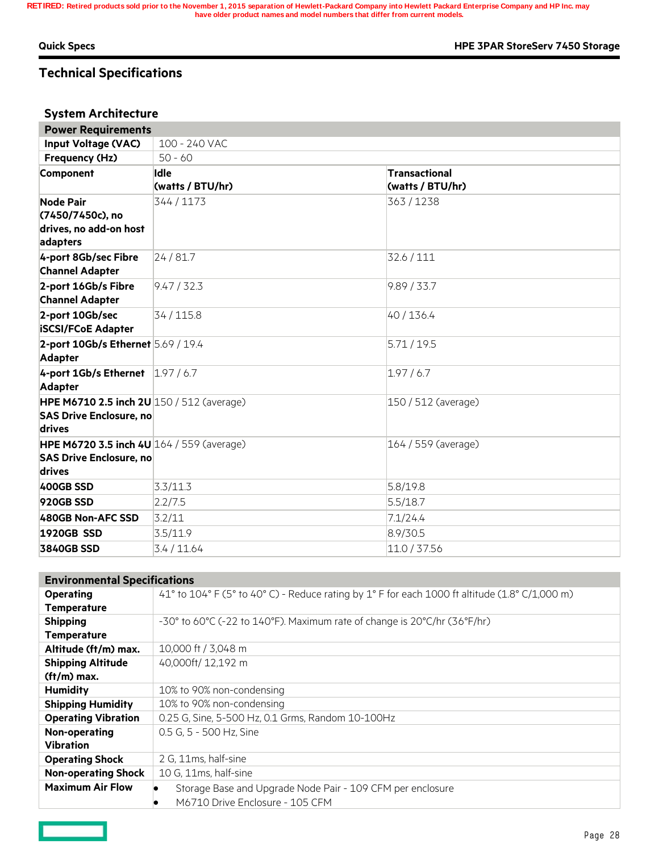$\equiv$   $\equiv$ 

**Quick Specs HPE 3PAR StoreServ 7450 Storage**

## **Technical Specifications**

## **System Architecture**

| <b>Power Requirements</b>                          |                  |                       |  |  |  |
|----------------------------------------------------|------------------|-----------------------|--|--|--|
| <b>Input Voltage (VAC)</b>                         | 100 - 240 VAC    |                       |  |  |  |
| Frequency (Hz)                                     | $50 - 60$        |                       |  |  |  |
| Component                                          | Idle             | Transactional         |  |  |  |
|                                                    | (watts / BTU/hr) | (watts / BTU/hr)      |  |  |  |
| <b>Node Pair</b>                                   | 344 / 1173       | 363/1238              |  |  |  |
| (7450/7450c), no                                   |                  |                       |  |  |  |
| drives, no add-on host                             |                  |                       |  |  |  |
| adapters                                           |                  |                       |  |  |  |
| 4-port 8Gb/sec Fibre                               | 24/81.7          | 32.6 / 111            |  |  |  |
| <b>Channel Adapter</b>                             |                  |                       |  |  |  |
| 2-port 16Gb/s Fibre                                | 9.47 / 32.3      | 9.89 / 33.7           |  |  |  |
| <b>Channel Adapter</b>                             |                  |                       |  |  |  |
| 2-port 10Gb/sec                                    | 34 / 115.8       | 40 / 136.4            |  |  |  |
| <b>iSCSI/FCoE Adapter</b>                          |                  |                       |  |  |  |
| 2-port 10Gb/s Ethernet 5.69 / 19.4                 |                  | 5.71/19.5             |  |  |  |
| <b>Adapter</b>                                     |                  |                       |  |  |  |
| 4-port 1Gb/s Ethernet   1.97 / 6.7                 |                  | 1.97/6.7              |  |  |  |
| <b>Adapter</b>                                     |                  |                       |  |  |  |
| <b>HPE M6710 2.5 inch 2U</b> $150 / 512$ (average) |                  | 150 / 512 (average)   |  |  |  |
| <b>SAS Drive Enclosure, no</b>                     |                  |                       |  |  |  |
| drives                                             |                  |                       |  |  |  |
| <b>HPE M6720 3.5 inch 4U</b> $164 / 559$ (average) |                  | $164 / 559$ (average) |  |  |  |
| <b>SAS Drive Enclosure, no</b>                     |                  |                       |  |  |  |
| drives                                             |                  |                       |  |  |  |
| 400GB SSD                                          | 3.3/11.3         | 5.8/19.8              |  |  |  |
| 920GB SSD                                          | 2.2/7.5          | 5.5/18.7              |  |  |  |
| 480GB Non-AFC SSD                                  | 3.2/11           | 7.1/24.4              |  |  |  |
| <b>1920GB SSD</b>                                  | 3.5/11.9         | 8.9/30.5              |  |  |  |
| <b>3840GB SSD</b>                                  | 3.4 / 11.64      | 11.0 / 37.56          |  |  |  |

| <b>Environmental Specifications</b> |                                                                                                |
|-------------------------------------|------------------------------------------------------------------------------------------------|
| <b>Operating</b>                    | 41° to 104° F (5° to 40° C) - Reduce rating by 1° F for each 1000 ft altitude (1.8° C/1,000 m) |
| <b>Temperature</b>                  |                                                                                                |
| <b>Shipping</b>                     | -30° to 60°C (-22 to 140°F). Maximum rate of change is 20°C/hr (36°F/hr)                       |
| <b>Temperature</b>                  |                                                                                                |
| Altitude (ft/m) max.                | 10,000 ft / 3,048 m                                                                            |
| <b>Shipping Altitude</b>            | 40,000ft/ 12,192 m                                                                             |
| $(ft/m)$ max.                       |                                                                                                |
| <b>Humidity</b>                     | 10% to 90% non-condensing                                                                      |
| <b>Shipping Humidity</b>            | 10% to 90% non-condensing                                                                      |
| <b>Operating Vibration</b>          | 0.25 G, Sine, 5-500 Hz, 0.1 Grms, Random 10-100Hz                                              |
| Non-operating                       | 0.5 G, 5 - 500 Hz, Sine                                                                        |
| <b>Vibration</b>                    |                                                                                                |
| <b>Operating Shock</b>              | 2 G. 11ms, half-sine                                                                           |
| <b>Non-operating Shock</b>          | 10 G, 11ms, half-sine                                                                          |
| <b>Maximum Air Flow</b>             | Storage Base and Upgrade Node Pair - 109 CFM per enclosure                                     |
|                                     | M6710 Drive Enclosure - 105 CFM                                                                |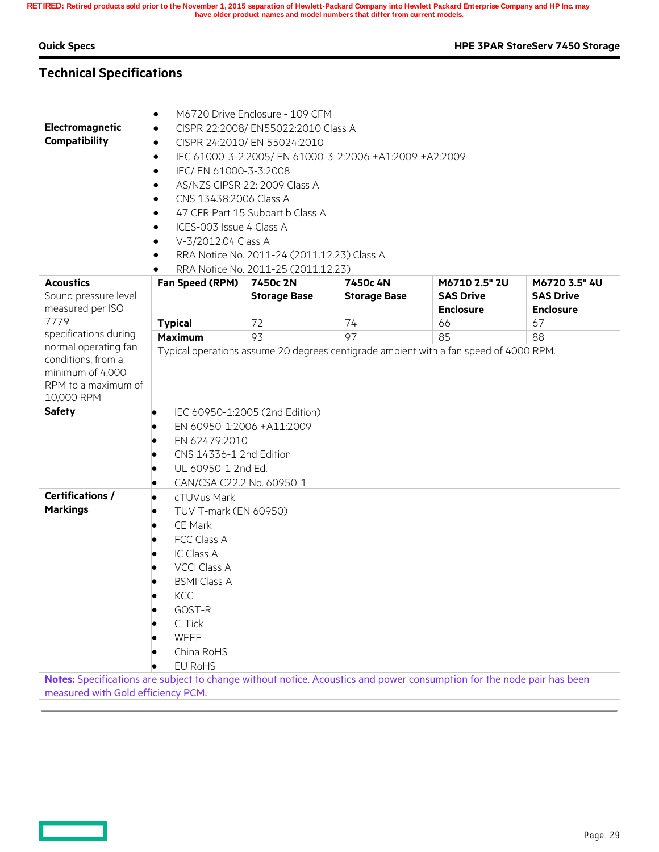$\qquad \qquad$ 

**Quick Specs HPE 3PAR StoreServ 7450 Storage**

## **Technical Specifications**

|                                                                                                                        | M6720 Drive Enclosure - 109 CFM                         |                                             |                     |                                                                                       |                  |
|------------------------------------------------------------------------------------------------------------------------|---------------------------------------------------------|---------------------------------------------|---------------------|---------------------------------------------------------------------------------------|------------------|
| Electromagnetic                                                                                                        | CISPR 22:2008/ EN55022:2010 Class A                     |                                             |                     |                                                                                       |                  |
| Compatibility                                                                                                          | CISPR 24:2010/ EN 55024:2010                            |                                             |                     |                                                                                       |                  |
|                                                                                                                        | IEC 61000-3-2:2005/ EN 61000-3-2:2006 +A1:2009 +A2:2009 |                                             |                     |                                                                                       |                  |
|                                                                                                                        | IEC/ EN 61000-3-3:2008                                  |                                             |                     |                                                                                       |                  |
|                                                                                                                        | AS/NZS CIPSR 22: 2009 Class A                           |                                             |                     |                                                                                       |                  |
|                                                                                                                        | CNS 13438:2006 Class A                                  |                                             |                     |                                                                                       |                  |
|                                                                                                                        | 47 CFR Part 15 Subpart b Class A                        |                                             |                     |                                                                                       |                  |
|                                                                                                                        | ICES-003 Issue 4 Class A                                |                                             |                     |                                                                                       |                  |
|                                                                                                                        | V-3/2012.04 Class A                                     |                                             |                     |                                                                                       |                  |
|                                                                                                                        |                                                         | RRA Notice No. 2011-24 (2011.12.23) Class A |                     |                                                                                       |                  |
|                                                                                                                        |                                                         | RRA Notice No. 2011-25 (2011.12.23)         |                     |                                                                                       |                  |
| <b>Acoustics</b>                                                                                                       | Fan Speed (RPM)                                         | 7450c 2N                                    | 7450c 4N            | M6710 2.5" 2U                                                                         | M6720 3.5" 4U    |
| Sound pressure level                                                                                                   |                                                         | <b>Storage Base</b>                         | <b>Storage Base</b> | <b>SAS Drive</b>                                                                      | <b>SAS Drive</b> |
| measured per ISO                                                                                                       |                                                         |                                             |                     | <b>Enclosure</b>                                                                      | <b>Enclosure</b> |
| 7779                                                                                                                   | <b>Typical</b>                                          | 72                                          | 74                  | 66                                                                                    | 67               |
| specifications during                                                                                                  | <b>Maximum</b>                                          | 93                                          | 97                  | 85                                                                                    | 88               |
| normal operating fan                                                                                                   |                                                         |                                             |                     | Typical operations assume 20 degrees centigrade ambient with a fan speed of 4000 RPM. |                  |
| conditions, from a                                                                                                     |                                                         |                                             |                     |                                                                                       |                  |
| minimum of 4,000                                                                                                       |                                                         |                                             |                     |                                                                                       |                  |
| RPM to a maximum of                                                                                                    |                                                         |                                             |                     |                                                                                       |                  |
| 10,000 RPM                                                                                                             |                                                         |                                             |                     |                                                                                       |                  |
| <b>Safety</b>                                                                                                          |                                                         | IEC 60950-1:2005 (2nd Edition)              |                     |                                                                                       |                  |
|                                                                                                                        | EN 60950-1:2006 +A11:2009                               |                                             |                     |                                                                                       |                  |
|                                                                                                                        | EN 62479:2010                                           |                                             |                     |                                                                                       |                  |
|                                                                                                                        | CNS 14336-1 2nd Edition                                 |                                             |                     |                                                                                       |                  |
|                                                                                                                        | UL 60950-1 2nd Ed.                                      |                                             |                     |                                                                                       |                  |
|                                                                                                                        | CAN/CSA C22.2 No. 60950-1                               |                                             |                     |                                                                                       |                  |
| <b>Certifications /</b>                                                                                                | cTUVus Mark<br>۰                                        |                                             |                     |                                                                                       |                  |
| <b>Markings</b>                                                                                                        | TUV T-mark (EN 60950)                                   |                                             |                     |                                                                                       |                  |
|                                                                                                                        | CE Mark                                                 |                                             |                     |                                                                                       |                  |
|                                                                                                                        | FCC Class A                                             |                                             |                     |                                                                                       |                  |
|                                                                                                                        | IC Class A                                              |                                             |                     |                                                                                       |                  |
|                                                                                                                        | <b>VCCI Class A</b>                                     |                                             |                     |                                                                                       |                  |
|                                                                                                                        | <b>BSMI Class A</b>                                     |                                             |                     |                                                                                       |                  |
|                                                                                                                        | KCC                                                     |                                             |                     |                                                                                       |                  |
|                                                                                                                        | GOST-R                                                  |                                             |                     |                                                                                       |                  |
|                                                                                                                        | C-Tick                                                  |                                             |                     |                                                                                       |                  |
|                                                                                                                        | WEEE                                                    |                                             |                     |                                                                                       |                  |
|                                                                                                                        | China RoHS                                              |                                             |                     |                                                                                       |                  |
|                                                                                                                        | <b>EU RoHS</b>                                          |                                             |                     |                                                                                       |                  |
| Notes: Specifications are subject to change without notice. Acoustics and power consumption for the node pair has been |                                                         |                                             |                     |                                                                                       |                  |
| measured with Gold efficiency PCM.                                                                                     |                                                         |                                             |                     |                                                                                       |                  |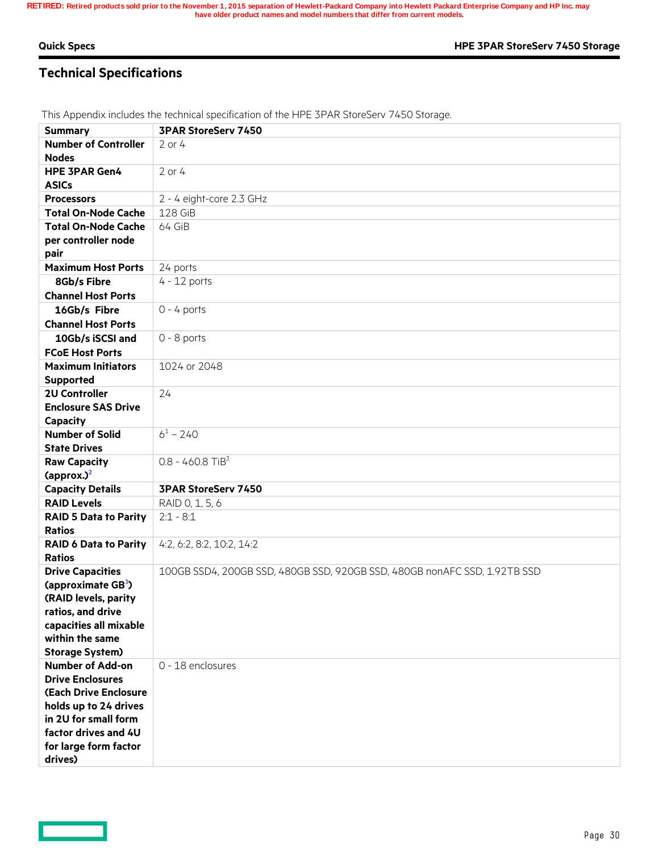## **Technical Specifications**

**Summary 3PAR StoreServ 7450 Number of Controller Nodes** 2 or 4 **HPE 3PAR Gen4 ASICs** 2 or 4 **Processors** 2 - 4 eight-core 2.3 GHz **Total On-Node Cache** | 128 GiB **Total On-Node Cache per controller node pair** 64 GiB Maximum Host Ports 24 ports **8Gb/s Fibre Channel Host Ports** 4 - 12 ports  **16Gb/s Fibre Channel Host Ports** 0 - 4 ports **10Gb/s iSCSI and FCoE Host Ports** 0 - 8 ports **Maximum Initiators Supported**  1024 or 2048 **2U Controller Enclosure SAS Drive Capacity** 24 **Number of Solid State Drives**  $6^1 - 240$ **Raw Capacity (approx.)<sup>2</sup>**  $0.8 - 460.8$  TiB<sup>3</sup> **Capacity Details 3PAR StoreServ 7450 RAID Levels** RAID 0, 1, 5, 6 **RAID 5 Data to Parity Ratios**  $2:1 - 8:1$ **RAID 6 Data to Parity Ratios** 4:2, 6:2, 8:2, 10:2, 14:2 **Drive Capacities (approximate GB<sup>3</sup> ) (RAID levels, parity ratios, and drive capacities all mixable within the same Storage System)** 100GB SSD4, 200GB SSD, 480GB SSD, 920GB SSD, 480GB nonAFC SSD, 1.92TB SSD **Number of Add-on Drive Enclosures (Each Drive Enclosure holds up to 24 drives in 2U for small form factor drives and 4U for large form factor drives)** 0 - 18 enclosures

This Appendix includes the technical specification of the HPE 3PAR StoreServ 7450 Storage.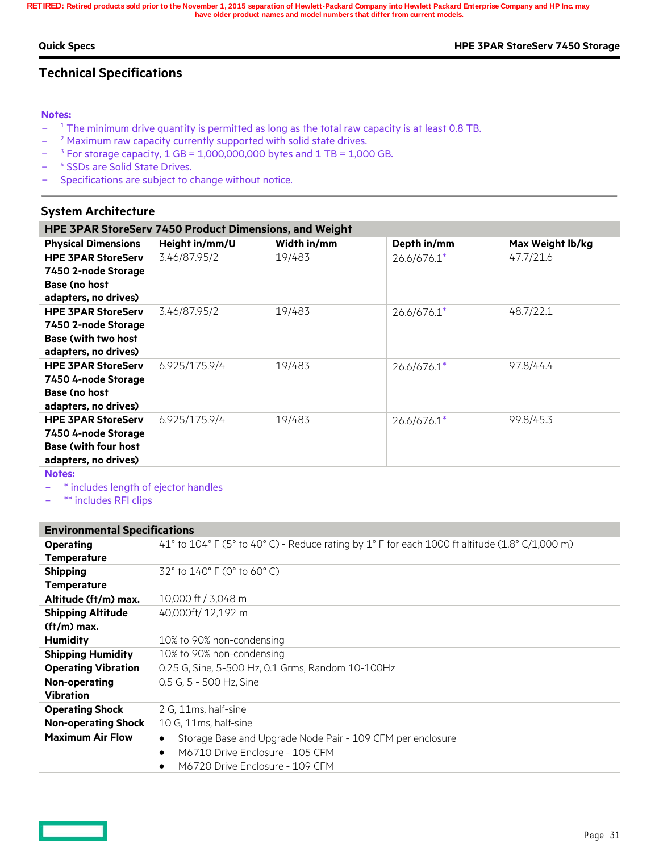#### **Quick Specs HPE 3PAR StoreServ 7450 Storage**

## **Technical Specifications**

#### **Notes:**

- L.  $1$ <sup>1</sup> The minimum drive quantity is permitted as long as the total raw capacity is at least 0.8 TB.
- $\overline{a}$ <sup>2</sup> Maximum raw capacity currently supported with solid state drives.
- ÷  $3$  For storage capacity, 1 GB = 1,000,000,000 bytes and 1 TB = 1,000 GB.
- Ľ, <sup>4</sup> SSDs are Solid State Drives.
- Specifications are subject to change without notice.

### **System Architecture**

| HPE 3PAR StoreServ 7450 Product Dimensions, and Weight |                |             |               |                  |  |  |
|--------------------------------------------------------|----------------|-------------|---------------|------------------|--|--|
| <b>Physical Dimensions</b>                             | Height in/mm/U | Width in/mm | Depth in/mm   | Max Weight lb/kg |  |  |
| <b>HPE 3PAR StoreServ</b>                              | 3.46/87.95/2   | 19/483      | 26.6/676.1*   | 47.7/21.6        |  |  |
| 7450 2-node Storage                                    |                |             |               |                  |  |  |
| <b>Base (no host</b>                                   |                |             |               |                  |  |  |
| adapters, no drives)                                   |                |             |               |                  |  |  |
| <b>HPE 3PAR StoreServ</b>                              | 3.46/87.95/2   | 19/483      | $26.6/676.1*$ | 48.7/22.1        |  |  |
| 7450 2-node Storage                                    |                |             |               |                  |  |  |
| <b>Base (with two host)</b>                            |                |             |               |                  |  |  |
| adapters, no drives)                                   |                |             |               |                  |  |  |
| <b>HPE 3PAR StoreServ</b>                              | 6.925/175.9/4  | 19/483      | $26.6/676.1*$ | 97.8/44.4        |  |  |
| 7450 4-node Storage                                    |                |             |               |                  |  |  |
| <b>Base (no host</b>                                   |                |             |               |                  |  |  |
| adapters, no drives)                                   |                |             |               |                  |  |  |
| <b>HPE 3PAR StoreServ</b>                              | 6.925/175.9/4  | 19/483      | $26.6/676.1*$ | 99.8/45.3        |  |  |
| 7450 4-node Storage                                    |                |             |               |                  |  |  |
| <b>Base (with four host)</b>                           |                |             |               |                  |  |  |
| adapters, no drives)                                   |                |             |               |                  |  |  |
| <b>Notes:</b>                                          |                |             |               |                  |  |  |
| .                                                      |                |             |               |                  |  |  |

\* includes length of ejector handles

\*\* includes RFI clips

| <b>Environmental Specifications</b> |                                                                                                |
|-------------------------------------|------------------------------------------------------------------------------------------------|
| Operating                           | 41° to 104° F (5° to 40° C) - Reduce rating by 1° F for each 1000 ft altitude (1.8° C/1,000 m) |
| <b>Temperature</b>                  |                                                                                                |
| <b>Shipping</b>                     | 32° to 140° F (0° to 60° C)                                                                    |
| <b>Temperature</b>                  |                                                                                                |
| Altitude (ft/m) max.                | 10,000 ft / 3,048 m                                                                            |
| <b>Shipping Altitude</b>            | 40,000ft/ 12,192 m                                                                             |
| $(ft/m)$ max.                       |                                                                                                |
| <b>Humidity</b>                     | 10% to 90% non-condensing                                                                      |
| <b>Shipping Humidity</b>            | 10% to 90% non-condensing                                                                      |
| <b>Operating Vibration</b>          | 0.25 G, Sine, 5-500 Hz, 0.1 Grms, Random 10-100Hz                                              |
| Non-operating                       | 0.5 G, 5 - 500 Hz, Sine                                                                        |
| <b>Vibration</b>                    |                                                                                                |
| <b>Operating Shock</b>              | 2 G, 11ms, half-sine                                                                           |
| <b>Non-operating Shock</b>          | 10 G, 11ms, half-sine                                                                          |
| <b>Maximum Air Flow</b>             | Storage Base and Upgrade Node Pair - 109 CFM per enclosure<br>$\bullet$                        |
|                                     | M6710 Drive Enclosure - 105 CFM<br>$\bullet$                                                   |
|                                     | M6720 Drive Enclosure - 109 CFM<br>$\bullet$                                                   |

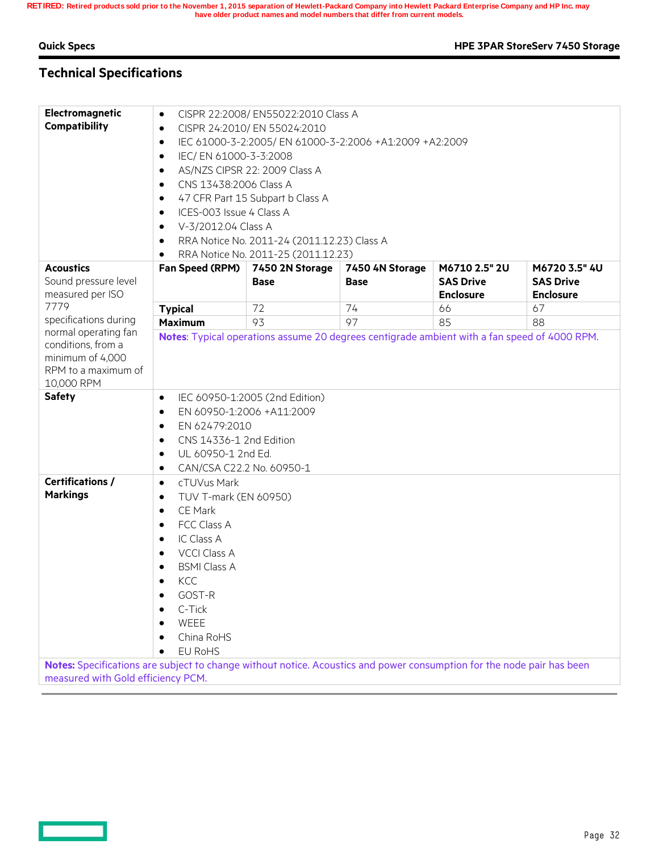— —

**Quick Specs HPE 3PAR StoreServ 7450 Storage**

## **Technical Specifications**

| Electromagnetic<br>Compatibility                                                             | CISPR 22:2008/ EN55022:2010 Class A<br>$\bullet$<br>CISPR 24:2010/ EN 55024:2010<br>$\bullet$<br>IEC 61000-3-2:2005/ EN 61000-3-2:2006 +A1:2009 +A2:2009<br>$\bullet$<br>IEC/EN 61000-3-3:2008<br>٠<br>AS/NZS CIPSR 22: 2009 Class A<br>٠<br>CNS 13438:2006 Class A<br>٠<br>47 CFR Part 15 Subpart b Class A<br>٠<br>ICES-003 Issue 4 Class A<br>$\bullet$<br>V-3/2012.04 Class A<br>٠<br>RRA Notice No. 2011-24 (2011.12.23) Class A<br>٠<br>RRA Notice No. 2011-25 (2011.12.23) |                 |                 |                                      |                                      |
|----------------------------------------------------------------------------------------------|-----------------------------------------------------------------------------------------------------------------------------------------------------------------------------------------------------------------------------------------------------------------------------------------------------------------------------------------------------------------------------------------------------------------------------------------------------------------------------------|-----------------|-----------------|--------------------------------------|--------------------------------------|
| <b>Acoustics</b>                                                                             | Fan Speed (RPM)                                                                                                                                                                                                                                                                                                                                                                                                                                                                   | 7450 2N Storage | 7450 4N Storage | M6710 2.5" 2U                        | M6720 3.5" 4U                        |
| Sound pressure level<br>measured per ISO                                                     |                                                                                                                                                                                                                                                                                                                                                                                                                                                                                   | <b>Base</b>     | <b>Base</b>     | <b>SAS Drive</b><br><b>Enclosure</b> | <b>SAS Drive</b><br><b>Enclosure</b> |
| 7779                                                                                         | <b>Typical</b>                                                                                                                                                                                                                                                                                                                                                                                                                                                                    | 72              | 74              | 66                                   | 67                                   |
| specifications during                                                                        | <b>Maximum</b>                                                                                                                                                                                                                                                                                                                                                                                                                                                                    | 93              | 97              | 85                                   | 88                                   |
| conditions, from a<br>minimum of 4,000<br>RPM to a maximum of<br>10,000 RPM<br><b>Safety</b> | Notes: Typical operations assume 20 degrees centigrade ambient with a fan speed of 4000 RPM.<br>IEC 60950-1:2005 (2nd Edition)<br>٠<br>EN 60950-1:2006 +A11:2009<br>$\bullet$<br>EN 62479:2010<br>٠<br>CNS 14336-1 2nd Edition<br>٠                                                                                                                                                                                                                                               |                 |                 |                                      |                                      |
| <b>Certifications /</b><br><b>Markings</b>                                                   | UL 60950-1 2nd Ed.<br>٠<br>CAN/CSA C22.2 No. 60950-1<br>٠<br>cTUVus Mark<br>$\bullet$<br>TUV T-mark (EN 60950)<br>$\bullet$<br>CE Mark<br>٠<br>FCC Class A<br>٠<br>IC Class A<br>$\bullet$<br><b>VCCI Class A</b><br>٠<br><b>BSMI Class A</b><br>$\bullet$<br>KCC<br>٠<br>GOST-R<br>٠<br>C-Tick<br>WEEE<br>China RoHS<br>EU RoHS                                                                                                                                                  |                 |                 |                                      |                                      |
|                                                                                              | Notes: Specifications are subject to change without notice. Acoustics and power consumption for the node pair has been<br>measured with Gold efficiency PCM.                                                                                                                                                                                                                                                                                                                      |                 |                 |                                      |                                      |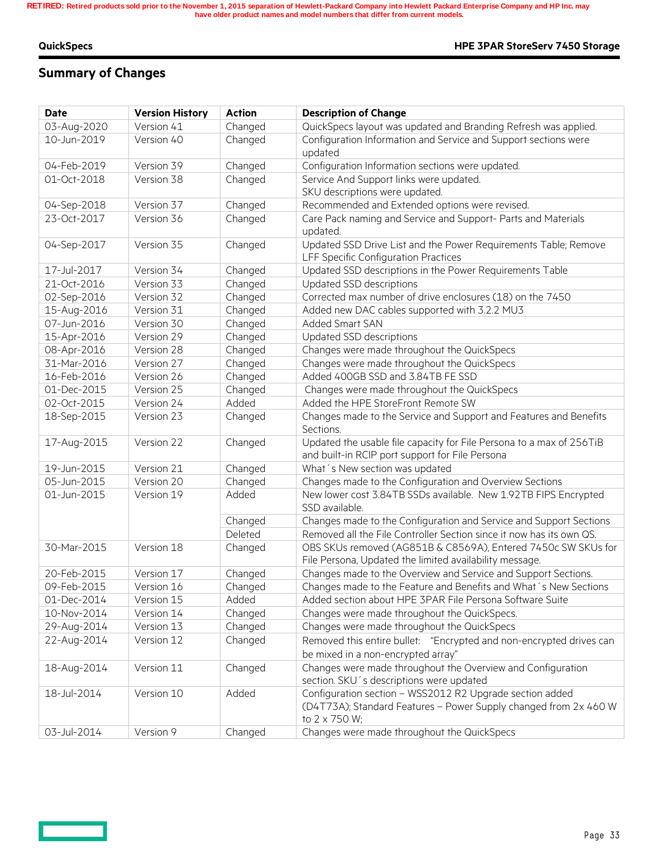<u>— 1</u>

#### **QuickSpecs HPE 3PAR StoreServ 7450 Storage**

## **Summary of Changes**

| <b>Date</b>                | <b>Version History</b>   | <b>Action</b> | <b>Description of Change</b>                                                                                                                  |
|----------------------------|--------------------------|---------------|-----------------------------------------------------------------------------------------------------------------------------------------------|
| 03-Aug-2020                | Version 41               | Changed       | QuickSpecs layout was updated and Branding Refresh was applied.                                                                               |
| 10-Jun-2019                | Version 40               | Changed       | Configuration Information and Service and Support sections were<br>updated                                                                    |
| 04-Feb-2019                | Version 39               | Changed       | Configuration Information sections were updated.                                                                                              |
| 01-Oct-2018                | Version 38               | Changed       | Service And Support links were updated.                                                                                                       |
|                            |                          |               | SKU descriptions were updated.                                                                                                                |
| 04-Sep-2018                | Version 37               | Changed       | Recommended and Extended options were revised.                                                                                                |
| 23-Oct-2017                | Version 36               | Changed       | Care Pack naming and Service and Support- Parts and Materials<br>updated.                                                                     |
| 04-Sep-2017                | Version 35               | Changed       | Updated SSD Drive List and the Power Requirements Table; Remove<br>LFF Specific Configuration Practices                                       |
| 17-Jul-2017                | Version 34               | Changed       | Updated SSD descriptions in the Power Requirements Table                                                                                      |
| 21-Oct-2016                | Version 33               | Changed       | Updated SSD descriptions                                                                                                                      |
| 02-Sep-2016                | Version 32               | Changed       | Corrected max number of drive enclosures (18) on the 7450                                                                                     |
| 15-Aug-2016                | Version 31               | Changed       | Added new DAC cables supported with 3.2.2 MU3                                                                                                 |
| 07-Jun-2016                | Version 30               | Changed       | <b>Added Smart SAN</b>                                                                                                                        |
| 15-Apr-2016                | Version 29               | Changed       | Updated SSD descriptions                                                                                                                      |
| 08-Apr-2016                | Version 28               | Changed       | Changes were made throughout the QuickSpecs                                                                                                   |
| 31-Mar-2016                | Version 27               | Changed       | Changes were made throughout the QuickSpecs                                                                                                   |
| 16-Feb-2016                | Version 26               | Changed       | Added 400GB SSD and 3.84TB FE SSD                                                                                                             |
| 01-Dec-2015                | Version 25               | Changed       | Changes were made throughout the QuickSpecs                                                                                                   |
| 02-Oct-2015                | Version 24               | Added         | Added the HPE StoreFront Remote SW                                                                                                            |
| 18-Sep-2015                | Version 23               | Changed       | Changes made to the Service and Support and Features and Benefits<br>Sections.                                                                |
| 17-Aug-2015                | Version 22               | Changed       | Updated the usable file capacity for File Persona to a max of 256TiB<br>and built-in RCIP port support for File Persona                       |
| 19-Jun-2015                | Version 21               | Changed       | What's New section was updated                                                                                                                |
| 05-Jun-2015                | Version 20               | Changed       | Changes made to the Configuration and Overview Sections                                                                                       |
| 01-Jun-2015                | Version 19               | Added         | New lower cost 3.84TB SSDs available. New 1.92TB FIPS Encrypted<br>SSD available.                                                             |
|                            |                          | Changed       | Changes made to the Configuration and Service and Support Sections                                                                            |
|                            |                          | Deleted       | Removed all the File Controller Section since it now has its own QS.                                                                          |
| 30-Mar-2015                | Version 18               | Changed       | OBS SKUs removed (AG851B & C8569A), Entered 7450c SW SKUs for                                                                                 |
| 20-Feb-2015                |                          |               | File Persona, Updated the limited availability message.                                                                                       |
|                            | Version 17               | Changed       | Changes made to the Overview and Service and Support Sections.                                                                                |
| 09-Feb-2015                | Version 16<br>Version 15 | Changed       | Changes made to the Feature and Benefits and What's New Sections<br>Added section about HPE 3PAR File Persona Software Suite                  |
| 01-Dec-2014<br>10-Nov-2014 |                          | Added         |                                                                                                                                               |
|                            | Version 14               | Changed       | Changes were made throughout the QuickSpecs.                                                                                                  |
| 29-Aug-2014                | Version 13               | Changed       | Changes were made throughout the QuickSpecs                                                                                                   |
| 22-Aug-2014                | Version 12               | Changed       | Removed this entire bullet: "Encrypted and non-encrypted drives can<br>be mixed in a non-encrypted array"                                     |
| 18-Aug-2014                | Version 11               | Changed       | Changes were made throughout the Overview and Configuration<br>section. SKU's descriptions were updated                                       |
| 18-Jul-2014                | Version 10               | Added         | Configuration section - WSS2012 R2 Upgrade section added<br>(D4T73A); Standard Features - Power Supply changed from 2x 460 W<br>to 2 x 750 W; |
| 03-Jul-2014                | Version 9                | Changed       | Changes were made throughout the QuickSpecs                                                                                                   |
|                            |                          |               |                                                                                                                                               |

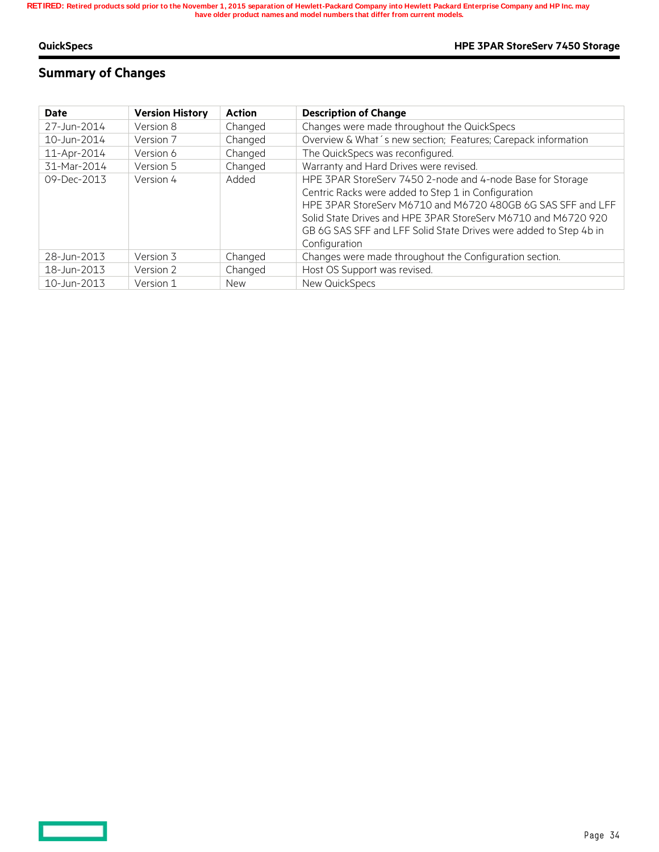$\equiv$   $\equiv$ 

#### **QuickSpecs HPE 3PAR StoreServ 7450 Storage**

## **Summary of Changes**

| Date        | <b>Version History</b> | <b>Action</b> | <b>Description of Change</b>                                                                                                                                                                                                                                                                                                            |
|-------------|------------------------|---------------|-----------------------------------------------------------------------------------------------------------------------------------------------------------------------------------------------------------------------------------------------------------------------------------------------------------------------------------------|
| 27-Jun-2014 | Version 8              | Changed       | Changes were made throughout the QuickSpecs                                                                                                                                                                                                                                                                                             |
| 10-Jun-2014 | Version 7              | Changed       | Overview & What's new section; Features; Carepack information                                                                                                                                                                                                                                                                           |
| 11-Apr-2014 | Version 6              | Changed       | The QuickSpecs was reconfigured.                                                                                                                                                                                                                                                                                                        |
| 31-Mar-2014 | Version 5              | Changed       | Warranty and Hard Drives were revised.                                                                                                                                                                                                                                                                                                  |
| 09-Dec-2013 | Version 4              | Added         | HPE 3PAR StoreServ 7450 2-node and 4-node Base for Storage<br>Centric Racks were added to Step 1 in Configuration<br>HPE 3PAR StoreServ M6710 and M6720 480GB 6G SAS SFF and LFF<br>Solid State Drives and HPE 3PAR StoreServ M6710 and M6720 920<br>GB 6G SAS SFF and LFF Solid State Drives were added to Step 4b in<br>Configuration |
| 28-Jun-2013 | Version 3              | Changed       | Changes were made throughout the Configuration section.                                                                                                                                                                                                                                                                                 |
| 18-Jun-2013 | Version 2              | Changed       | Host OS Support was revised.                                                                                                                                                                                                                                                                                                            |
| 10-Jun-2013 | Version 1              | <b>New</b>    | New QuickSpecs                                                                                                                                                                                                                                                                                                                          |